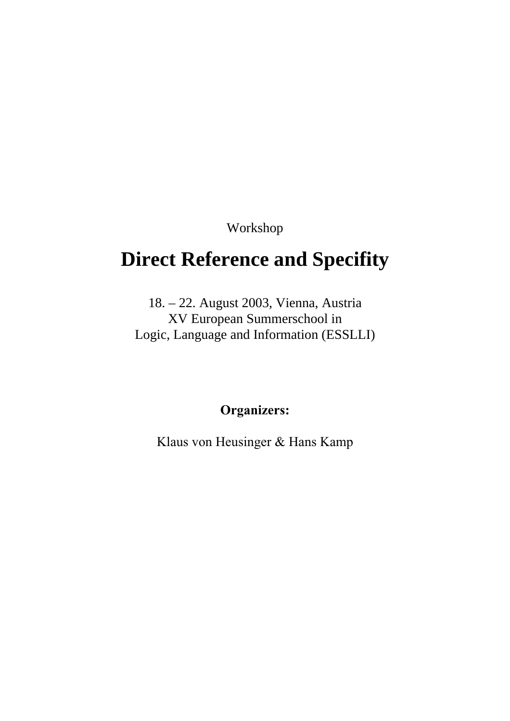Workshop

# **Direct Reference and Specifity**

18. – 22. August 2003, Vienna, Austria XV European Summerschool in Logic, Language and Information (ESSLLI)

## **Organizers:**

Klaus von Heusinger & Hans Kamp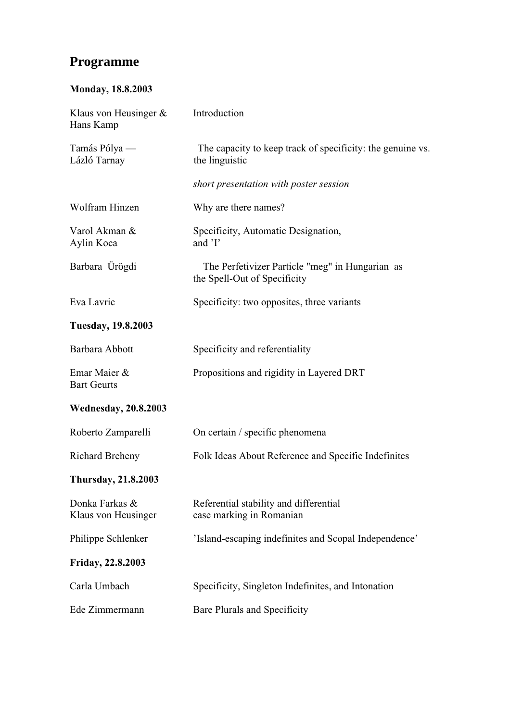## **Programme**

## **Monday, 18.8.2003**

| Klaus von Heusinger $\&$<br>Hans Kamp | Introduction                                                                    |
|---------------------------------------|---------------------------------------------------------------------------------|
| Tamás Pólya -<br>Lázló Tarnay         | The capacity to keep track of specificity: the genuine vs.<br>the linguistic    |
|                                       | short presentation with poster session                                          |
| Wolfram Hinzen                        | Why are there names?                                                            |
| Varol Akman &<br>Aylin Koca           | Specificity, Automatic Designation,<br>and 'I'                                  |
| Barbara Ürögdi                        | The Perfetivizer Particle "meg" in Hungarian as<br>the Spell-Out of Specificity |
| Eva Lavric                            | Specificity: two opposites, three variants                                      |
| <b>Tuesday, 19.8.2003</b>             |                                                                                 |
| Barbara Abbott                        | Specificity and referentiality                                                  |
| Emar Maier &<br><b>Bart Geurts</b>    | Propositions and rigidity in Layered DRT                                        |
| <b>Wednesday, 20.8.2003</b>           |                                                                                 |
| Roberto Zamparelli                    | On certain / specific phenomena                                                 |
| <b>Richard Breheny</b>                | Folk Ideas About Reference and Specific Indefinites                             |
| <b>Thursday, 21.8.2003</b>            |                                                                                 |
| Donka Farkas &<br>Klaus von Heusinger | Referential stability and differential<br>case marking in Romanian              |
| Philippe Schlenker                    | 'Island-escaping indefinites and Scopal Independence'                           |
| Friday, 22.8.2003                     |                                                                                 |
| Carla Umbach                          | Specificity, Singleton Indefinites, and Intonation                              |
| Ede Zimmermann                        | Bare Plurals and Specificity                                                    |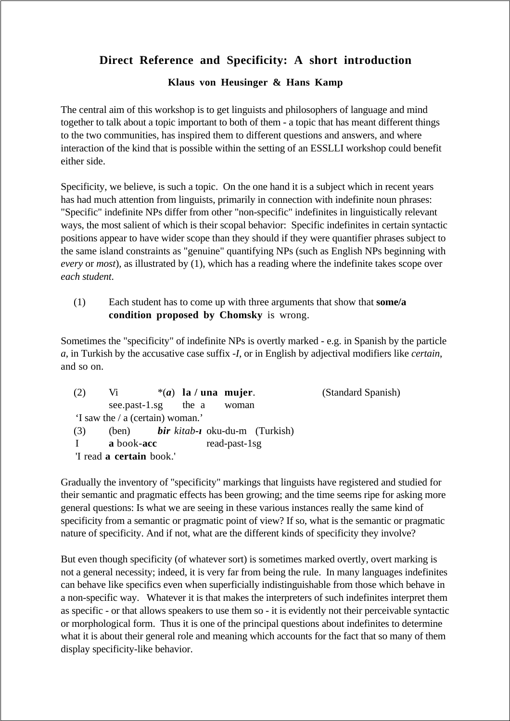## **Direct Reference and Specificity: A short introduction**

## **Klaus von Heusinger & Hans Kamp**

The central aim of this workshop is to get linguists and philosophers of language and mind together to talk about a topic important to both of them - a topic that has meant different things to the two communities, has inspired them to different questions and answers, and where interaction of the kind that is possible within the setting of an ESSLLI workshop could benefit either side.

Specificity, we believe, is such a topic. On the one hand it is a subject which in recent years has had much attention from linguists, primarily in connection with indefinite noun phrases: "Specific" indefinite NPs differ from other "non-specific" indefinites in linguistically relevant ways, the most salient of which is their scopal behavior: Specific indefinites in certain syntactic positions appear to have wider scope than they should if they were quantifier phrases subject to the same island constraints as "genuine" quantifying NPs (such as English NPs beginning with *every* or *most*), as illustrated by (1), which has a reading where the indefinite takes scope over *each student*.

(1) Each student has to come up with three arguments that show that **some/a condition proposed by Chomsky** is wrong.

Sometimes the "specificity" of indefinite NPs is overtly marked - e.g. in Spanish by the particle *a*, in Turkish by the accusative case suffix *-I*, or in English by adjectival modifiers like *certain*, and so on.

| (2)                             | V <sub>i</sub>                   | $*(a)$ la / una mujer.                              | (Standard Spanish) |  |  |
|---------------------------------|----------------------------------|-----------------------------------------------------|--------------------|--|--|
|                                 | see.past-1.sg the a              | woman                                               |                    |  |  |
|                                 | 'I saw the / a (certain) woman.' |                                                     |                    |  |  |
| (3)                             |                                  | (ben) <b>bir</b> kitab- <b>i</b> oku-du-m (Turkish) |                    |  |  |
|                                 | a book-acc                       | read-past-1sg                                       |                    |  |  |
| 'I read <b>a certain</b> book.' |                                  |                                                     |                    |  |  |

Gradually the inventory of "specificity" markings that linguists have registered and studied for their semantic and pragmatic effects has been growing; and the time seems ripe for asking more general questions: Is what we are seeing in these various instances really the same kind of specificity from a semantic or pragmatic point of view? If so, what is the semantic or pragmatic nature of specificity. And if not, what are the different kinds of specificity they involve?

But even though specificity (of whatever sort) is sometimes marked overtly, overt marking is not a general necessity; indeed, it is very far from being the rule. In many languages indefinites can behave like specifics even when superficially indistinguishable from those which behave in a non-specific way. Whatever it is that makes the interpreters of such indefinites interpret them as specific - or that allows speakers to use them so - it is evidently not their perceivable syntactic or morphological form. Thus it is one of the principal questions about indefinites to determine what it is about their general role and meaning which accounts for the fact that so many of them display specificity-like behavior.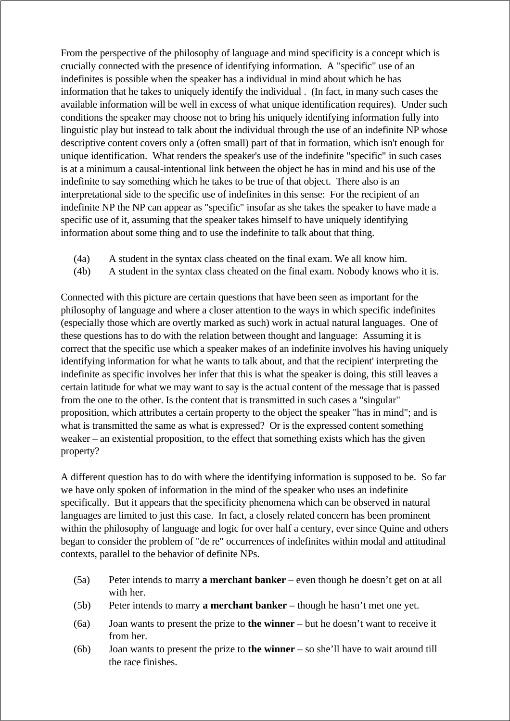From the perspective of the philosophy of language and mind specificity is a concept which is crucially connected with the presence of identifying information. A "specific" use of an indefinites is possible when the speaker has a individual in mind about which he has information that he takes to uniquely identify the individual . (In fact, in many such cases the available information will be well in excess of what unique identification requires). Under such conditions the speaker may choose not to bring his uniquely identifying information fully into linguistic play but instead to talk about the individual through the use of an indefinite NP whose descriptive content covers only a (often small) part of that in formation, which isn't enough for unique identification. What renders the speaker's use of the indefinite "specific" in such cases is at a minimum a causal-intentional link between the object he has in mind and his use of the indefinite to say something which he takes to be true of that object. There also is an interpretational side to the specific use of indefinites in this sense: For the recipient of an indefinite NP the NP can appear as "specific" insofar as she takes the speaker to have made a specific use of it, assuming that the speaker takes himself to have uniquely identifying information about some thing and to use the indefinite to talk about that thing.

- (4a) A student in the syntax class cheated on the final exam. We all know him.
- (4b) A student in the syntax class cheated on the final exam. Nobody knows who it is.

Connected with this picture are certain questions that have been seen as important for the philosophy of language and where a closer attention to the ways in which specific indefinites (especially those which are overtly marked as such) work in actual natural languages. One of these questions has to do with the relation between thought and language: Assuming it is correct that the specific use which a speaker makes of an indefinite involves his having uniquely identifying information for what he wants to talk about, and that the recipient' interpreting the indefinite as specific involves her infer that this is what the speaker is doing, this still leaves a certain latitude for what we may want to say is the actual content of the message that is passed from the one to the other. Is the content that is transmitted in such cases a "singular" proposition, which attributes a certain property to the object the speaker "has in mind"; and is what is transmitted the same as what is expressed? Or is the expressed content something weaker – an existential proposition, to the effect that something exists which has the given property?

A different question has to do with where the identifying information is supposed to be. So far we have only spoken of information in the mind of the speaker who uses an indefinite specifically. But it appears that the specificity phenomena which can be observed in natural languages are limited to just this case. In fact, a closely related concern has been prominent within the philosophy of language and logic for over half a century, ever since Quine and others began to consider the problem of "de re" occurrences of indefinites within modal and attitudinal contexts, parallel to the behavior of definite NPs.

- (5a) Peter intends to marry **a merchant banker** even though he doesn't get on at all with her.
- (5b) Peter intends to marry **a merchant banker** though he hasn't met one yet.
- (6a) Joan wants to present the prize to **the winner** but he doesn't want to receive it from her.
- (6b) Joan wants to present the prize to **the winner** so she'll have to wait around till the race finishes.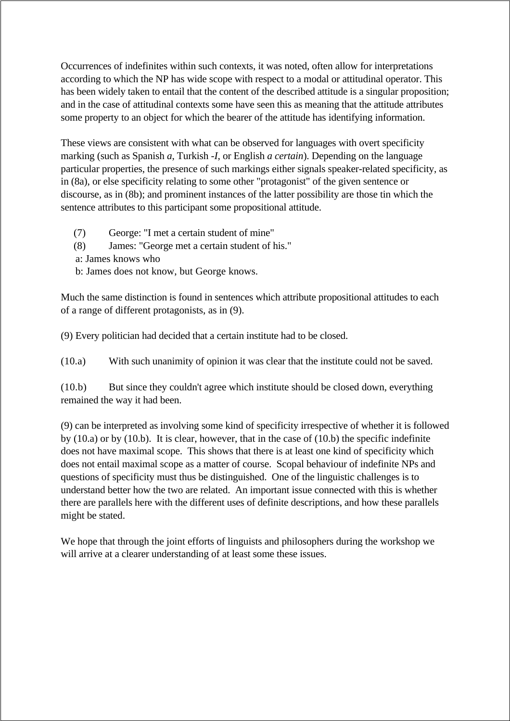Occurrences of indefinites within such contexts, it was noted, often allow for interpretations according to which the NP has wide scope with respect to a modal or attitudinal operator. This has been widely taken to entail that the content of the described attitude is a singular proposition; and in the case of attitudinal contexts some have seen this as meaning that the attitude attributes some property to an object for which the bearer of the attitude has identifying information.

These views are consistent with what can be observed for languages with overt specificity marking (such as Spanish *a*, Turkish *-I*, or English *a certain*). Depending on the language particular properties, the presence of such markings either signals speaker-related specificity, as in (8a), or else specificity relating to some other "protagonist" of the given sentence or discourse, as in (8b); and prominent instances of the latter possibility are those tin which the sentence attributes to this participant some propositional attitude.

(7) George: "I met a certain student of mine" (8) James: "George met a certain student of his." a: James knows who b: James does not know, but George knows.

Much the same distinction is found in sentences which attribute propositional attitudes to each of a range of different protagonists, as in (9).

(9) Every politician had decided that a certain institute had to be closed.

(10.a) With such unanimity of opinion it was clear that the institute could not be saved.

(10.b) But since they couldn't agree which institute should be closed down, everything remained the way it had been.

(9) can be interpreted as involving some kind of specificity irrespective of whether it is followed by (10.a) or by (10.b). It is clear, however, that in the case of (10.b) the specific indefinite does not have maximal scope. This shows that there is at least one kind of specificity which does not entail maximal scope as a matter of course. Scopal behaviour of indefinite NPs and questions of specificity must thus be distinguished. One of the linguistic challenges is to understand better how the two are related. An important issue connected with this is whether there are parallels here with the different uses of definite descriptions, and how these parallels might be stated.

We hope that through the joint efforts of linguists and philosophers during the workshop we will arrive at a clearer understanding of at least some these issues.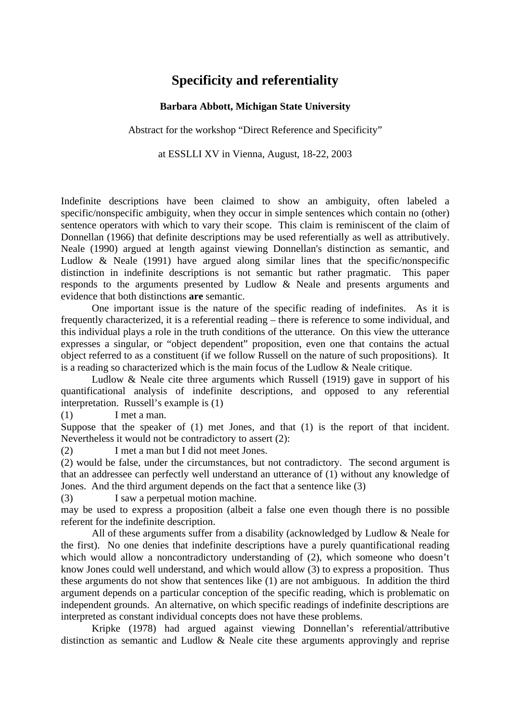## **Specificity and referentiality**

### **Barbara Abbott, Michigan State University**

Abstract for the workshop "Direct Reference and Specificity"

at ESSLLI XV in Vienna, August, 18-22, 2003

Indefinite descriptions have been claimed to show an ambiguity, often labeled a specific/nonspecific ambiguity, when they occur in simple sentences which contain no (other) sentence operators with which to vary their scope. This claim is reminiscent of the claim of Donnellan (1966) that definite descriptions may be used referentially as well as attributively. Neale (1990) argued at length against viewing Donnellan's distinction as semantic, and Ludlow & Neale (1991) have argued along similar lines that the specific/nonspecific distinction in indefinite descriptions is not semantic but rather pragmatic. This paper responds to the arguments presented by Ludlow & Neale and presents arguments and evidence that both distinctions **are** semantic.

One important issue is the nature of the specific reading of indefinites. As it is frequently characterized, it is a referential reading – there is reference to some individual, and this individual plays a role in the truth conditions of the utterance. On this view the utterance expresses a singular, or "object dependent" proposition, even one that contains the actual object referred to as a constituent (if we follow Russell on the nature of such propositions). It is a reading so characterized which is the main focus of the Ludlow & Neale critique.

Ludlow & Neale cite three arguments which Russell (1919) gave in support of his quantificational analysis of indefinite descriptions, and opposed to any referential interpretation. Russell's example is (1)

(1) I met a man.

Suppose that the speaker of (1) met Jones, and that (1) is the report of that incident. Nevertheless it would not be contradictory to assert (2):

(2) I met a man but I did not meet Jones.

(2) would be false, under the circumstances, but not contradictory. The second argument is that an addressee can perfectly well understand an utterance of (1) without any knowledge of Jones. And the third argument depends on the fact that a sentence like (3)

(3) I saw a perpetual motion machine.

may be used to express a proposition (albeit a false one even though there is no possible referent for the indefinite description.

All of these arguments suffer from a disability (acknowledged by Ludlow & Neale for the first). No one denies that indefinite descriptions have a purely quantificational reading which would allow a noncontradictory understanding of (2), which someone who doesn't know Jones could well understand, and which would allow (3) to express a proposition. Thus these arguments do not show that sentences like (1) are not ambiguous. In addition the third argument depends on a particular conception of the specific reading, which is problematic on independent grounds. An alternative, on which specific readings of indefinite descriptions are interpreted as constant individual concepts does not have these problems.

Kripke (1978) had argued against viewing Donnellan's referential/attributive distinction as semantic and Ludlow & Neale cite these arguments approvingly and reprise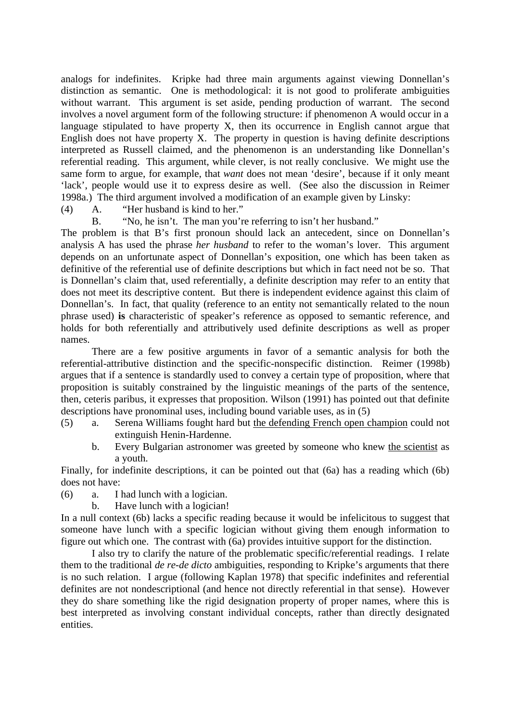analogs for indefinites. Kripke had three main arguments against viewing Donnellan's distinction as semantic. One is methodological: it is not good to proliferate ambiguities without warrant. This argument is set aside, pending production of warrant. The second involves a novel argument form of the following structure: if phenomenon A would occur in a language stipulated to have property X, then its occurrence in English cannot argue that English does not have property X. The property in question is having definite descriptions interpreted as Russell claimed, and the phenomenon is an understanding like Donnellan's referential reading. This argument, while clever, is not really conclusive. We might use the same form to argue, for example, that *want* does not mean 'desire', because if it only meant 'lack', people would use it to express desire as well. (See also the discussion in Reimer 1998a.) The third argument involved a modification of an example given by Linsky:

- (4) A. "Her husband is kind to her."
	- B. "No, he isn't. The man you're referring to isn't her husband."

The problem is that B's first pronoun should lack an antecedent, since on Donnellan's analysis A has used the phrase *her husband* to refer to the woman's lover. This argument depends on an unfortunate aspect of Donnellan's exposition, one which has been taken as definitive of the referential use of definite descriptions but which in fact need not be so. That is Donnellan's claim that, used referentially, a definite description may refer to an entity that does not meet its descriptive content. But there is independent evidence against this claim of Donnellan's. In fact, that quality (reference to an entity not semantically related to the noun phrase used) **is** characteristic of speaker's reference as opposed to semantic reference, and holds for both referentially and attributively used definite descriptions as well as proper names.

There are a few positive arguments in favor of a semantic analysis for both the referential-attributive distinction and the specific-nonspecific distinction. Reimer (1998b) argues that if a sentence is standardly used to convey a certain type of proposition, where that proposition is suitably constrained by the linguistic meanings of the parts of the sentence, then, ceteris paribus, it expresses that proposition. Wilson (1991) has pointed out that definite descriptions have pronominal uses, including bound variable uses, as in (5)

- (5) a. Serena Williams fought hard but the defending French open champion could not extinguish Henin-Hardenne.
	- b. Every Bulgarian astronomer was greeted by someone who knew the scientist as a youth.

Finally, for indefinite descriptions, it can be pointed out that (6a) has a reading which (6b) does not have:

- (6) a. I had lunch with a logician.
	- b. Have lunch with a logician!

In a null context (6b) lacks a specific reading because it would be infelicitous to suggest that someone have lunch with a specific logician without giving them enough information to figure out which one. The contrast with (6a) provides intuitive support for the distinction.

I also try to clarify the nature of the problematic specific/referential readings. I relate them to the traditional *de re*-*de dicto* ambiguities, responding to Kripke's arguments that there is no such relation. I argue (following Kaplan 1978) that specific indefinites and referential definites are not nondescriptional (and hence not directly referential in that sense). However they do share something like the rigid designation property of proper names, where this is best interpreted as involving constant individual concepts, rather than directly designated entities.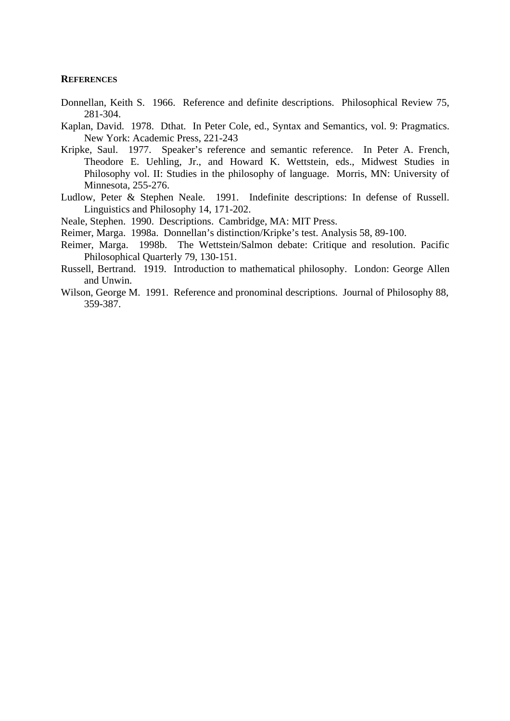#### **REFERENCES**

- Donnellan, Keith S. 1966. Reference and definite descriptions. Philosophical Review 75, 281-304.
- Kaplan, David. 1978. Dthat. In Peter Cole, ed., Syntax and Semantics, vol. 9: Pragmatics. New York: Academic Press, 221-243
- Kripke, Saul. 1977. Speaker's reference and semantic reference. In Peter A. French, Theodore E. Uehling, Jr., and Howard K. Wettstein, eds., Midwest Studies in Philosophy vol. II: Studies in the philosophy of language. Morris, MN: University of Minnesota, 255-276.
- Ludlow, Peter & Stephen Neale. 1991. Indefinite descriptions: In defense of Russell. Linguistics and Philosophy 14, 171-202.
- Neale, Stephen. 1990. Descriptions. Cambridge, MA: MIT Press.
- Reimer, Marga. 1998a. Donnellan's distinction/Kripke's test. Analysis 58, 89-100.
- Reimer, Marga. 1998b. The Wettstein/Salmon debate: Critique and resolution. Pacific Philosophical Quarterly 79, 130-151.
- Russell, Bertrand. 1919. Introduction to mathematical philosophy. London: George Allen and Unwin.
- Wilson, George M. 1991. Reference and pronominal descriptions. Journal of Philosophy 88, 359-387.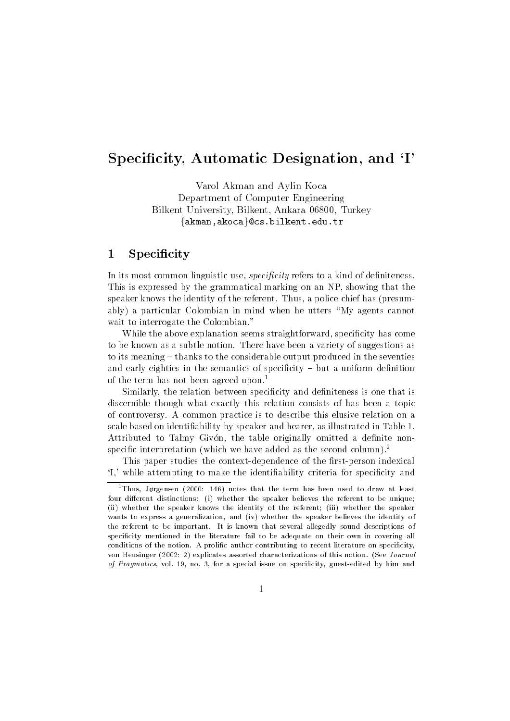## special and I and I and I and I and I and I are and I and I are a set of the I amplitude to the I amplitude to

Varol Akman and Aylin Koca Department of Computer Engineering Bilkent University Bilkent Ankara --- Turkey  $\{ \texttt{akman}, \texttt{akoca} \}$ @cs.bilkent.edu.tr

## specialized and the city of the city of the city of the city of the city of the city of the city of the city of

In its most common linguistic use specicity refers to a kind of de-niteness This is expressed by the grammatical marking on an NP, showing that the speaker knows the identity of the referent. Thus, a police chief has (presumably) a particular Colombian in mind when he utters "My agents cannot wait to interrogate the Colombian."

while the above explanation seems straightforward specific presents; and specific to be known as a subtle notion There have been a variety of suggestions as to its meaning – thanks to the considerable output produced in the seventies and early eighties in the semantic of special contracts of special contracts of special contracts of special contracts of special contracts of special contracts of special contracts of special contracts of special contract of the term has not been agreed upon.<sup>1</sup>

Similarly the relation between speci-city and de-niteness is one that is discernible though what exactly this relation consists of has been a topic of controversy A common practice is to describe this elusive relation on a scale based on identification by speaker and heart and heart in Table is illustrated in Table Attributed to Talmy Givon the table originally omitted a de-nite non specific interpretation (which we have added as the second column).

This paper studies the contextdependence of the -rstperson indexical I
 while attempting to make the identi-ability criteria for speci-city and

<sup>&</sup>quot;Inus, Jørgensen (2000: 146) notes that the term has been used to draw at least four dierent distinctions i whether the speaker believes the referent to be unique ii whether the speaker knows the identity of the referent iii whether the speaker whether the suppliers of generalizations and ivery constructed and increasing the identity of the identity of the referent to be important. It is known that several allegedly sound descriptions of specificity mentioned in the literature fail to be adequate on their own in covering all conditions of the notion. A prolific author contributing to recent literature on specificity, von Heusinger explicates assorted characterizations of this notion
 See Journal of Pragmatics, vol. 19, no. 3, for a special issue on specificity, guest-edited by him and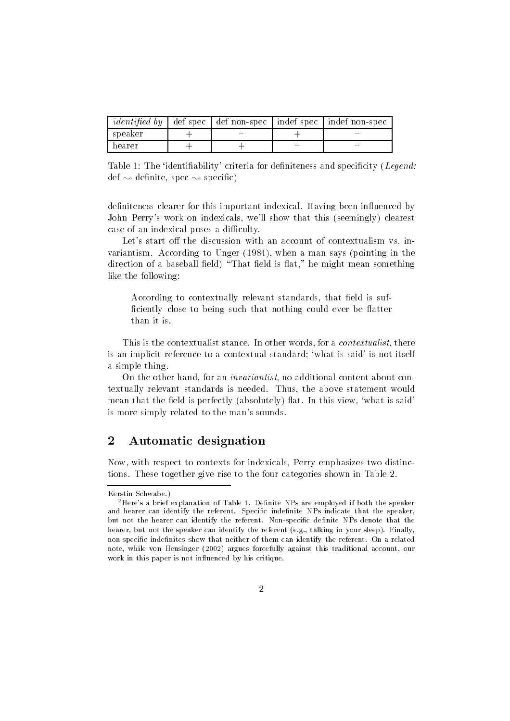|           |  | <i>identified by</i> def spec def non-spec indef spec indef non-spec |
|-----------|--|----------------------------------------------------------------------|
| l speaker |  |                                                                      |
| hearer    |  |                                                                      |

Table The identi-ability
 criteria for de-niteness and speci-city Legenddefinition of the species of the species of the species of the species of the species of the species of the species of the species of the species of the species of the species of the species of the species of the species o

de-niteness clearer for this important indexical Having been inuenced by John Perry's work on indexicals, we'll show that this (seemingly) clearest case of an indexical poses a difficulty.

Let's start off the discussion with an account of contextualism vs. invariantism and the manger of the says pointing in the same says point  $\pi$  and the same same same same same sa direction of a baseball - eld is at he might mean something  $\mathbf{A}$ like the following

According to contextually relevant standards that -eld is suf -ciently close to being such that nothing could ever be atter than it is

This is the contextualist stance. In other words, for a *contextualist*, there is an implicit reference to a contextual standard; 'what is said' is not itself a simple thing

On the other hand, for an *invariantist*, no additional content about contextually relevant standards is needed. Thus, the above statement would eld is the complete that the process  $\alpha$  , and is the complete this view  $\alpha$  is said that is said the complete is more simply related to the man
s sounds

## Automatic designation

Now, with respect to contexts for indexicals, Perry emphasizes two distinctions. These together give rise to the four categories shown in Table 2.

Kerstin Schwabe

<sup>&</sup>quot;Here's a brief explanation of Table 1. Definite NPs are employed if both the speaker and hearer can identify the referent. Specific indefinite NPs indicate that the speaker, but not the hearer can identify the referent. Non-specific definite NPs denote that the hearer but not the speaker can identify the referent e
g
 talking in your sleep Finally non-specific indefinites show that neither of them can identify the referent. On a related note while von Heusinger argues forcefully against this traditional account our work in this paper is not influenced by his critique.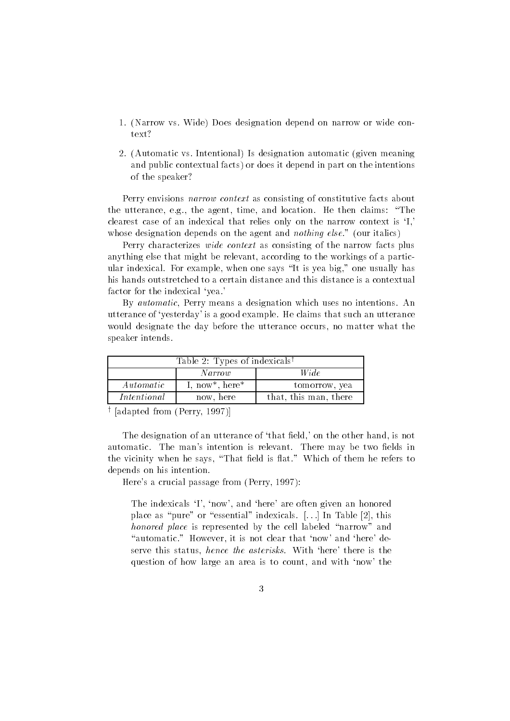- Narrow vs Wide Does designation depend on narrow or wide con text
- 2. (Automatic vs. Intentional) Is designation automatic (given meaning and public contextual facts) or does it depend in part on the intentions of the speaker

Perry envisions narrow context as consisting of constitutive facts about the utterance, e.g., the agent, time, and location. He then claims: "The clearest case of an indexical that relies only on the narrow context is 'I, whose designation depends on the agent and *nothing else.*" (our italics)

Perry characterizes *wide context* as consisting of the narrow facts plus anything else that might be relevant, according to the workings of a particular indexical. For example, when one says "It is yea big," one usually has his hands outstretched to a certain distance and this distance is a contextual factor for the indexical 'yea.'

By automatic, Perry means a designation which uses no intentions. An utterance of yesterday
 is a good example He claims that such an utterance would designate the day before the utterance occurs, no matter what the speaker intends

| Table 2: Types of indexicals <sup>†</sup> |                |                       |  |
|-------------------------------------------|----------------|-----------------------|--|
| Wide<br>Narrow                            |                |                       |  |
| Automatic                                 | I, now*, here* | tomorrow, yea         |  |
| Intentional                               | now, here      | that, this man, there |  |
|                                           |                |                       |  |

' |adapted from (Perry, 1997)|

The designation of an utterance of that -eld
 on the other hand is not automatic Theorem is relevant Theorem is relevant Theorem is relevant Theorem is relevant There may be two the vicinity when he says, which is at Which when the refers to the same to the refer depends on his intention

Here
s a crucial passage from Perry

The indexicals 'I', 'now', and 'here' are often given an honored place as "pure" or "essential" indexicals.  $[...]$  In Table  $[2]$ , this honored place is represented by the cell labeled "narrow" and "automatic." However, it is not clear that 'now' and 'here' deserve this status, *hence the asterisks*. With 'here' there is the question of how large an area is to count, and with 'now' the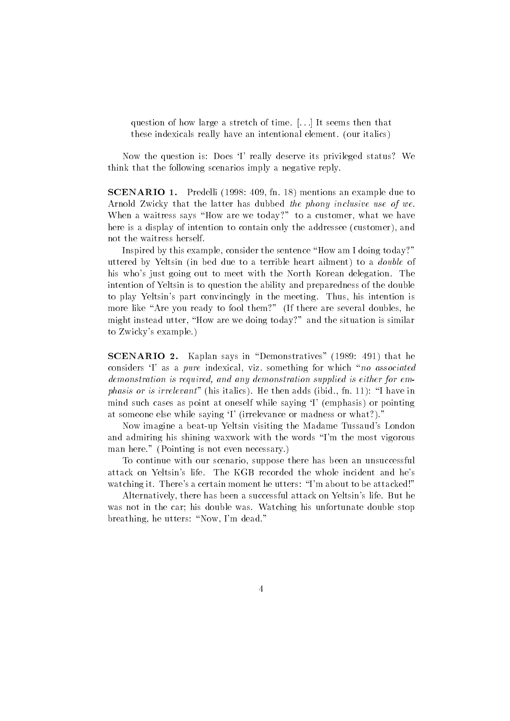question of how large a stretch of time.  $\lceil \ldots \rceil$  It seems then that these indexicals really have an intentional element. (our italics)

Now the question is: Does 'I' really deserve its privileged status? We think that the following scenarios imply a negative reply

 $\bf SCENARIO$  1. Predelli (1998: 409, fn. 18) mentions an example due to Arnold Zwicky that the latter has dubbed the phony inclusive use of we When a waitress says "How are we today?" to a customer, what we have here is a display of intention to contain only the addressee (customer), and not the waitress herself

Inspired by this example, consider the sentence "How am I doing today?" uttered by Yeltsin (in bed due to a terrible heart ailment) to a *double* of his who's just going out to meet with the North Korean delegation. The intention of Yeltsin is to question the ability and preparedness of the double to play Yeltsin's part convincingly in the meeting. Thus, his intention is more like "Are you ready to fool them?" (If there are several doubles, he might instead utter, "How are we doing today?" and the situation is similar to Zwicky
s example

 ${\bf SCENARIO}$  2. Kaplan says in "Demonstratives" (1989: 491) that he considers 'I' as a pure indexical, viz. something for which "no associated demonstration is required, and any demonstration supplied is either for emphasis or is interesting the then adds in the then adds in the then adds in the then adds in the then adds in mind such cases as point at oneself while saying 'I' (emphasis) or pointing at someone else while saying 'I' (irrelevance or madness or what?)."

Now imagine a beat-up Yeltsin visiting the Madame Tussaud's London and admiring his shining waxwork with the words "I'm the most vigorous man here." (Pointing is not even necessary.)

To continue with our scenario, suppose there has been an unsuccessful attack on Yeltsin's life. The KGB recorded the whole incident and he's watching it. There's a certain moment he utters: "I'm about to be attacked!"

Alternatively, there has been a successful attack on Yeltsin's life. But he was not in the car; his double was. Watching his unfortunate double stop breathing, he utters: "Now, I'm dead."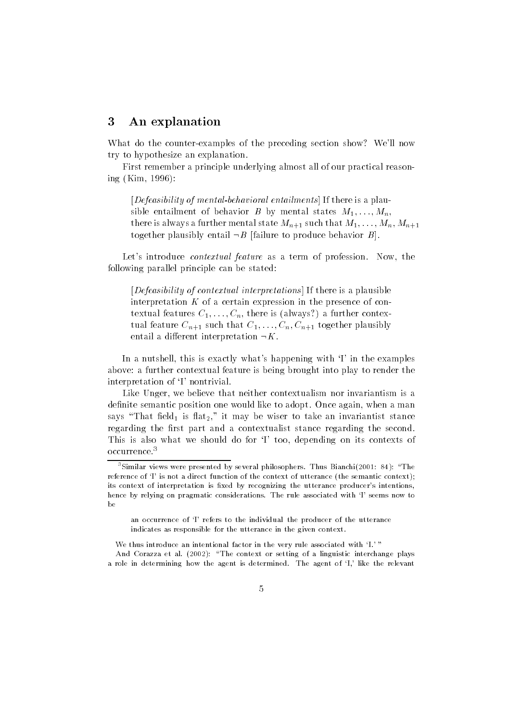### An explanation

What do the counter-examples of the preceding section show? We'll now try to hypothesize an explanation

First remember a principle underlying almost all of our practical reason ing Kim

 $[Defeasibility of mental-behavioral entailments]$  If there is a plau- $\sim$  . The commentation of behavior  $\sim$  by mental states matrix  $\sim$  $\frac{1}{1000}$  and  $\frac{1}{1000}$  and  $\frac{1}{1000}$  in such that  $\frac{1}{1000}$  is  $\frac{1}{1000}$  in  $\frac{1}{1000}$  in  $\frac{1}{1000}$ together plausibly entail  $\neg B$  failure to produce behavior B.

Let's introduce *contextual feature* as a term of profession. Now, the following parallel principle can be stated

 $[Defeasibility of contextual interpretations]$  If there is a plausible interpretation  $K$  of a certain expression in the presence of con- $\alpha$  further is always a further  $\alpha$  further  $\alpha$  further context.  $\alpha$  and following  $\alpha$  such that  $\alpha$ -(i),  $\alpha$ ,  $\alpha$ <sub>(i)</sub>,  $\alpha$ <sub>i</sub><sub>1</sub>,  $\alpha$ <sub>i</sub><sub>1</sub>,  $\alpha$ <sub>i</sub><sub>1</sub>,  $\alpha$ <sub>i</sub><sub>1</sub>,  $\alpha$ <sub>i</sub><sub>1</sub>,  $\alpha$ <sub>i</sub><sub>1</sub>,  $\alpha$ <sub>i</sub><sub>1</sub>,  $\alpha$ <sub>i</sub><sub>1</sub>,  $\alpha$ <sub>i</sub><sub>1</sub>,  $\alpha$ <sub>i</sub><sub>1</sub>,  $\alpha$ <sub>i</sub><sub>1</sub>,  $\alpha$ <sub>i</sub><sub>1</sub>,  $\alpha$ <sub>i</sub><sub>1</sub>,  $\alpha$ entail a different interpretation  $\neg K$ .

In a nutshell, this is exactly what's happening with  $I'$  in the examples above: a further contextual feature is being brought into play to render the interpretation of 'I' nontrivial.

Like Unger, we believe that neither contextualism nor invariantism is a de-nite semantic position one would like to adopt Once again when a man says That -eld is at- it may be wiser to take an invariantist stance regarding the -rst part and a contextualist stance regarding the second This is also what we should do for 'I' too, depending on its contexts of occurrence

We thus introduce an intentional factor in the very rule associated with 'I.' "

And Corazza et al
 The context or setting of a linguistic interchange plays a role in determining how the agent is determined. The agent of 'I,' like the relevant

<sup>&</sup>quot;Similar views were presented by several philosophers. Thus Bianchi(2001: 84): "The reference of it is not a direct function of the context of utterance the context context  $\mathcal{C}_1$ its context of interpretation is fixed by recognizing the utterance producer's intentions. hence by relying on pragmatic considerations. The rule associated with 'I' seems now to  $he$ 

an occurrence of 'I' refers to the individual the producer of the utterance indicates as responsible for the utterance in the given context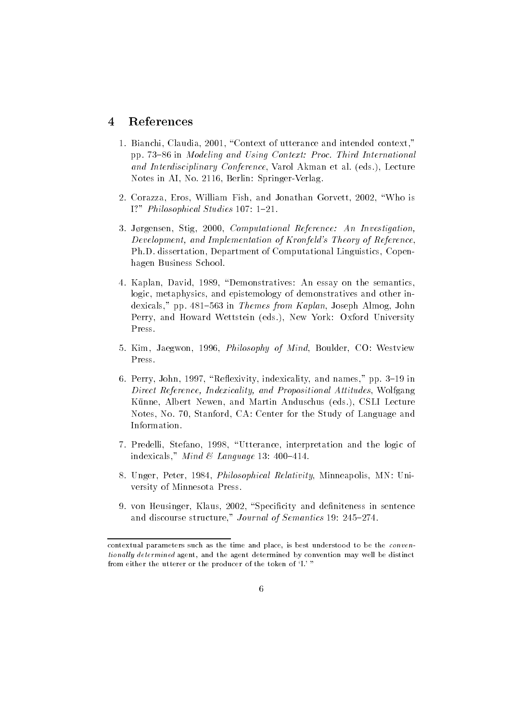### References

- . Bianchi Caudiani Claudia and intended context of utterance and intended context, pp in Modeling and Using Context- Proc Third International and Interdisciplinary Conference, Varol Akman et al. (eds.), Lecture e is a see the springer of the springer and the springer of the set of the set of the set of the set of the set of the set of the set of the set of the set of the set of the set of the set of the set of the set of the set
- 2. Corazza, Eros, William Fish, and Jonathan Gorvett, 2002, "Who is I Philosophical Studies
- J"rgensen Stig Computational Reference- An Investigation Development, and Implementation of Kronfeld's Theory of Reference, Ph.D. dissertation, Department of Computational Linguistics, Copenhagen Business School
- Kaplan David Demonstratives An essay on the semantics logic, metaphysics, and epistemology of demonstratives and other indexicals pp for the state of the matrix  $\mathcal{L}$  is the state  $\mathcal{L}$  of  $\mathcal{L}$ Perry, and Howard Wettstein (eds.), New York: Oxford University Press
- of the Second Co West Co Westerly and Mind Boulder Co Westerly and Mind Boulder Co Westerly Co Westerly and Min Press
- Perry John Reexivity indexicality and names pp in Direct Reference, Indexicality, and Propositional Attitudes, Wolfgang Künne, Albert Newen, and Martin Anduschus (eds.), CSLI Lecture Notes, No. 70, Stanford, CA: Center for the Study of Language and Information
- Predelli Stefano Utterance interpretation and the logic of indexicals Mind Language
- Under Peter Peter Peter Peter Minneapolis Minnesotique Mexican Peter Minnesotique Minnesotique Minnesotique Mi versity of Minnesota Press
- von Heusinger, Soniten, Specific and de-monthlee and de-monthlee and discourse structure  $\mathbf{1}$  , which is defined on  $\mathbf{1}$  , which is defined on  $\mathbf{1}$  , which is defined on  $\mathbf{1}$

contextual parameters such as the time and place is best understood to be the conven  $t$ ionali $\bm{y}$  determined agent, and the agent determined by convention may well be distinct from either the utterer or the producer of the token of 'I.' "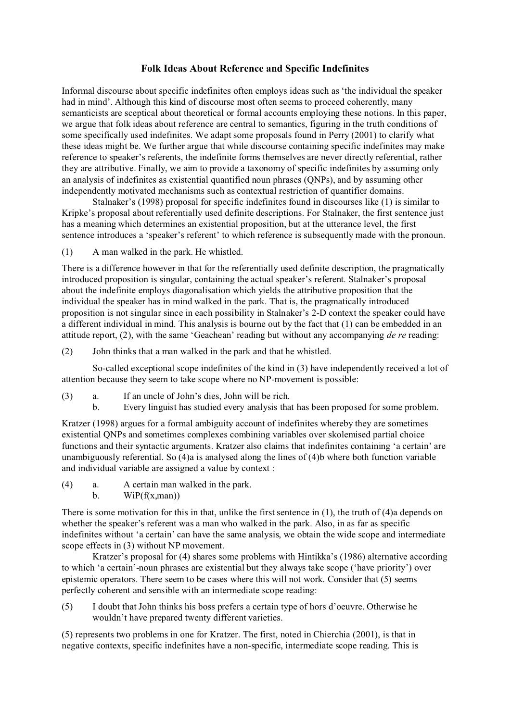### **Folk Ideas About Reference and Specific Indefinites**

Informal discourse about specific indefinites often employs ideas such as 'the individual the speaker had in mind'. Although this kind of discourse most often seems to proceed coherently, many semanticists are sceptical about theoretical or formal accounts employing these notions. In this paper, we argue that folk ideas about reference are central to semantics, figuring in the truth conditions of some specifically used indefinites. We adapt some proposals found in Perry (2001) to clarify what these ideas might be. We further argue that while discourse containing specific indefinites may make reference to speaker's referents, the indefinite forms themselves are never directly referential, rather they are attributive. Finally, we aim to provide a taxonomy of specific indefinites by assuming only an analysis of indefinites as existential quantified noun phrases (QNPs), and by assuming other independently motivated mechanisms such as contextual restriction of quantifier domains.

Stalnaker's (1998) proposal for specific indefinites found in discourses like (1) is similar to Kripke's proposal about referentially used definite descriptions. For Stalnaker, the first sentence just has a meaning which determines an existential proposition, but at the utterance level, the first sentence introduces a 'speaker's referent' to which reference is subsequently made with the pronoun.

(1) A man walked in the park. He whistled.

There is a difference however in that for the referentially used definite description, the pragmatically introduced proposition is singular, containing the actual speaker's referent. Stalnaker's proposal about the indefinite employs diagonalisation which yields the attributive proposition that the individual the speaker has in mind walked in the park. That is, the pragmatically introduced proposition is not singular since in each possibility in Stalnaker's 2-D context the speaker could have a different individual in mind. This analysis is bourne out by the fact that (1) can be embedded in an attitude report, (2), with the same 'Geachean' reading but without any accompanying *de re* reading:

(2) John thinks that a man walked in the park and that he whistled.

So-called exceptional scope indefinites of the kind in (3) have independently received a lot of attention because they seem to take scope where no NP-movement is possible:

- (3) a. If an uncle of John's dies, John will be rich.
	- b. Every linguist has studied every analysis that has been proposed for some problem.

Kratzer (1998) argues for a formal ambiguity account of indefinites whereby they are sometimes existential QNPs and sometimes complexes combining variables over skolemised partial choice functions and their syntactic arguments. Kratzer also claims that indefinites containing 'a certain' are unambiguously referential. So (4)a is analysed along the lines of (4)b where both function variable and individual variable are assigned a value by context :

- (4) a. A certain man walked in the park.
	- b.  $WiP(f(x, man))$

There is some motivation for this in that, unlike the first sentence in (1), the truth of (4)a depends on whether the speaker's referent was a man who walked in the park. Also, in as far as specific indefinites without 'a certain' can have the same analysis, we obtain the wide scope and intermediate scope effects in (3) without NP movement.

Kratzer's proposal for (4) shares some problems with Hintikka's (1986) alternative according to which 'a certain'-noun phrases are existential but they always take scope ('have priority') over epistemic operators. There seem to be cases where this will not work. Consider that (5) seems perfectly coherent and sensible with an intermediate scope reading:

(5) I doubt that John thinks his boss prefers a certain type of hors d'oeuvre. Otherwise he wouldn't have prepared twenty different varieties.

(5) represents two problems in one for Kratzer. The first, noted in Chierchia (2001), is that in negative contexts, specific indefinites have a non-specific, intermediate scope reading. This is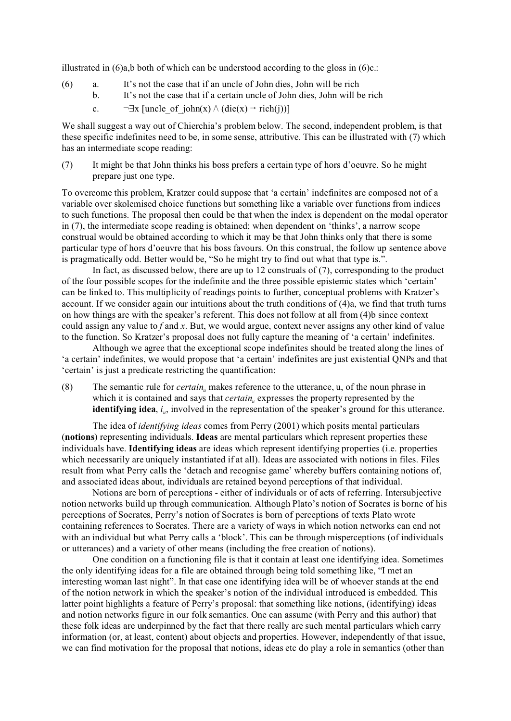illustrated in  $(6)a$ , b both of which can be understood according to the gloss in  $(6)c$ .:

- (6) a. It's not the case that if an uncle of John dies, John will be rich
	- b. It's not the case that if a certain uncle of John dies, John will be rich
	- c.  $\neg \exists x$  [uncle of john(x)  $\land$  (die(x)  $\rightarrow$  rich(j))]

We shall suggest a way out of Chierchia's problem below. The second, independent problem, is that these specific indefinites need to be, in some sense, attributive. This can be illustrated with (7) which has an intermediate scope reading:

(7) It might be that John thinks his boss prefers a certain type of hors d'oeuvre. So he might prepare just one type.

To overcome this problem, Kratzer could suppose that 'a certain' indefinites are composed not of a variable over skolemised choice functions but something like a variable over functions from indices to such functions. The proposal then could be that when the index is dependent on the modal operator in (7), the intermediate scope reading is obtained; when dependent on 'thinks', a narrow scope construal would be obtained according to which it may be that John thinks only that there is some particular type of hors d'oeuvre that his boss favours. On this construal, the follow up sentence above is pragmatically odd. Better would be, "So he might try to find out what that type is.".

In fact, as discussed below, there are up to 12 construals of (7), corresponding to the product of the four possible scopes for the indefinite and the three possible epistemic states which 'certain' can be linked to. This multiplicity of readings points to further, conceptual problems with Kratzer's account. If we consider again our intuitions about the truth conditions of (4)a, we find that truth turns on how things are with the speaker's referent. This does not follow at all from (4)b since context could assign any value to *f* and *x*. But, we would argue, context never assigns any other kind of value to the function. So Kratzer's proposal does not fully capture the meaning of 'a certain' indefinites.

Although we agree that the exceptional scope indefinites should be treated along the lines of 'a certain' indefinites, we would propose that 'a certain' indefinites are just existential QNPs and that 'certain' is just a predicate restricting the quantification:

(8) The semantic rule for *certain<sup>u</sup>* makes reference to the utterance, u, of the noun phrase in which it is contained and says that *certain*<sub>*u*</sub> expresses the property represented by the **identifying idea**, *i<sup>u</sup>* , involved in the representation of the speaker's ground for this utterance.

The idea of *identifying ideas* comes from Perry (2001) which posits mental particulars (**notions**) representing individuals. **Ideas** are mental particulars which represent properties these individuals have. **Identifying ideas** are ideas which represent identifying properties (i.e. properties which necessarily are uniquely instantiated if at all). Ideas are associated with notions in files. Files result from what Perry calls the 'detach and recognise game' whereby buffers containing notions of, and associated ideas about, individuals are retained beyond perceptions of that individual.

Notions are born of perceptions - either of individuals or of acts of referring. Intersubjective notion networks build up through communication. Although Plato's notion of Socrates is borne of his perceptions of Socrates, Perry's notion of Socrates is born of perceptions of texts Plato wrote containing references to Socrates. There are a variety of ways in which notion networks can end not with an individual but what Perry calls a 'block'. This can be through misperceptions (of individuals or utterances) and a variety of other means (including the free creation of notions).

One condition on a functioning file is that it contain at least one identifying idea. Sometimes the only identifying ideas for a file are obtained through being told something like, "I met an interesting woman last night". In that case one identifying idea will be of whoever stands at the end of the notion network in which the speaker's notion of the individual introduced is embedded. This latter point highlights a feature of Perry's proposal: that something like notions, (identifying) ideas and notion networks figure in our folk semantics. One can assume (with Perry and this author) that these folk ideas are underpinned by the fact that there really are such mental particulars which carry information (or, at least, content) about objects and properties. However, independently of that issue, we can find motivation for the proposal that notions, ideas etc do play a role in semantics (other than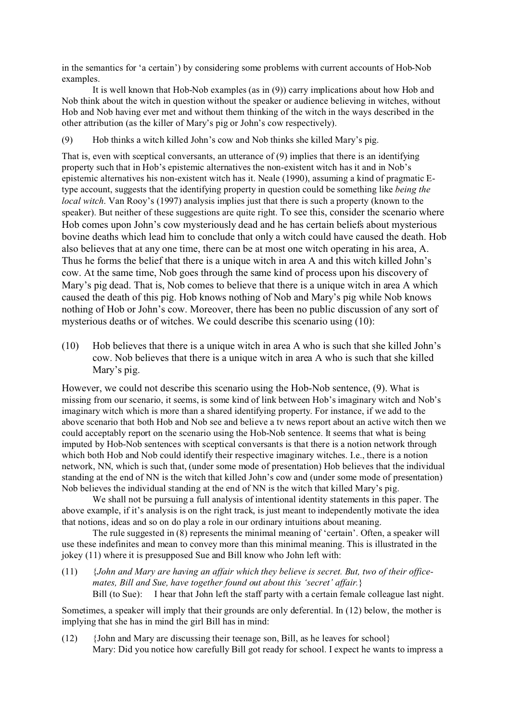in the semantics for 'a certain') by considering some problems with current accounts of Hob-Nob examples.

It is well known that Hob-Nob examples (as in (9)) carry implications about how Hob and Nob think about the witch in question without the speaker or audience believing in witches, without Hob and Nob having ever met and without them thinking of the witch in the ways described in the other attribution (as the killer of Mary's pig or John's cow respectively).

(9) Hob thinks a witch killed John's cow and Nob thinks she killed Mary's pig.

That is, even with sceptical conversants, an utterance of (9) implies that there is an identifying property such that in Hob's epistemic alternatives the non-existent witch has it and in Nob's epistemic alternatives his non-existent witch has it. Neale (1990), assuming a kind of pragmatic Etype account, suggests that the identifying property in question could be something like *being the local witch*. Van Rooy's (1997) analysis implies just that there is such a property (known to the speaker). But neither of these suggestions are quite right. To see this, consider the scenario where Hob comes upon John's cow mysteriously dead and he has certain beliefs about mysterious bovine deaths which lead him to conclude that only a witch could have caused the death. Hob also believes that at any one time, there can be at most one witch operating in his area, A. Thus he forms the belief that there is a unique witch in area A and this witch killed John's cow. At the same time, Nob goes through the same kind of process upon his discovery of Mary's pig dead. That is, Nob comes to believe that there is a unique witch in area A which caused the death of this pig. Hob knows nothing of Nob and Mary's pig while Nob knows nothing of Hob or John's cow. Moreover, there has been no public discussion of any sort of mysterious deaths or of witches. We could describe this scenario using (10):

(10) Hob believes that there is a unique witch in area A who is such that she killed John's cow. Nob believes that there is a unique witch in area A who is such that she killed Mary's pig.

However, we could not describe this scenario using the Hob-Nob sentence, (9). What is missing from our scenario, it seems, is some kind of link between Hob's imaginary witch and Nob's imaginary witch which is more than a shared identifying property. For instance, if we add to the above scenario that both Hob and Nob see and believe a tv news report about an active witch then we could acceptably report on the scenario using the Hob-Nob sentence. It seems that what is being imputed by Hob-Nob sentences with sceptical conversants is that there is a notion network through which both Hob and Nob could identify their respective imaginary witches. I.e., there is a notion network, NN, which is such that, (under some mode of presentation) Hob believes that the individual standing at the end of NN is the witch that killed John's cow and (under some mode of presentation) Nob believes the individual standing at the end of NN is the witch that killed Mary's pig.

We shall not be pursuing a full analysis of intentional identity statements in this paper. The above example, if it's analysis is on the right track, is just meant to independently motivate the idea that notions, ideas and so on do play a role in our ordinary intuitions about meaning.

The rule suggested in (8) represents the minimal meaning of 'certain'. Often, a speaker will use these indefinites and mean to convey more than this minimal meaning. This is illustrated in the jokey (11) where it is presupposed Sue and Bill know who John left with:

(11) {*John and Mary are having an affair which they believe is secret. But, two of their officemates, Bill and Sue, have together found out about this 'secret' affair.*} Bill (to Sue): I hear that John left the staff party with a certain female colleague last night.

Sometimes, a speaker will imply that their grounds are only deferential. In (12) below, the mother is implying that she has in mind the girl Bill has in mind:

(12) {John and Mary are discussing their teenage son, Bill, as he leaves for school} Mary: Did you notice how carefully Bill got ready for school. I expect he wants to impress a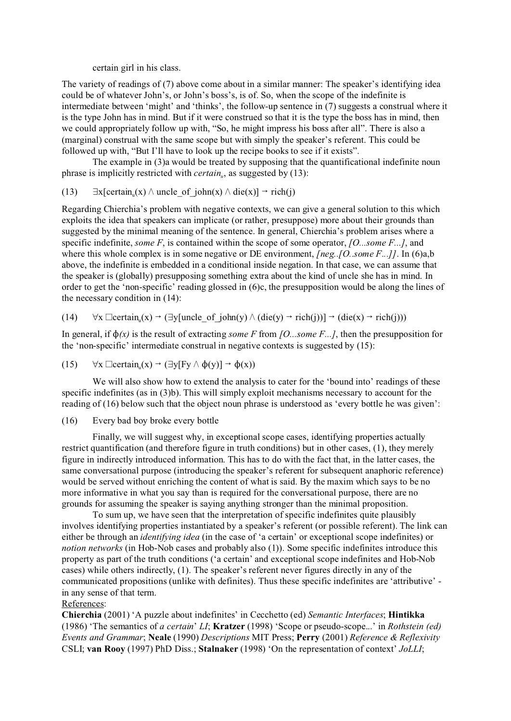certain girl in his class.

The variety of readings of (7) above come about in a similar manner: The speaker's identifying idea could be of whatever John's, or John's boss's, is of. So, when the scope of the indefinite is intermediate between 'might' and 'thinks', the follow-up sentence in (7) suggests a construal where it is the type John has in mind. But if it were construed so that it is the type the boss has in mind, then we could appropriately follow up with, "So, he might impress his boss after all". There is also a (marginal) construal with the same scope but with simply the speaker's referent. This could be followed up with, "But I'll have to look up the recipe books to see if it exists".

The example in (3)a would be treated by supposing that the quantificational indefinite noun phrase is implicitly restricted with *certain<sup>u</sup>* , as suggested by (13):

(13) 
$$
\exists x[certain_u(x) \land uncle_of\_john(x) \land die(x)] \rightarrow rich(j)
$$

Regarding Chierchia's problem with negative contexts, we can give a general solution to this which exploits the idea that speakers can implicate (or rather, presuppose) more about their grounds than suggested by the minimal meaning of the sentence. In general, Chierchia's problem arises where a specific indefinite, *some F*, is contained within the scope of some operator, *[O...some F...]*, and where this whole complex is in some negative or DE environment, *[neg..]O..some F...]l*. In (6)a,b above, the indefinite is embedded in a conditional inside negation. In that case, we can assume that the speaker is (globally) presupposing something extra about the kind of uncle she has in mind. In order to get the 'non-specific' reading glossed in (6)c, the presupposition would be along the lines of the necessary condition in (14):

## $(14)$   $\forall$ x  $\Box$ certain<sub>u</sub>(x)  $\rightarrow$   $(\exists$ y[uncle\_of\_john(y)  $\land$  (die(y)  $\rightarrow$  rich(j))]  $\rightarrow$  (die(x)  $\rightarrow$  rich(j)))

In general, if  $\phi(x)$  is the result of extracting *some F* from *[O...some F...]*, then the presupposition for the 'non-specific' intermediate construal in negative contexts is suggested by (15):

(15) 
$$
\forall x \; \Box \text{certain}_u(x) \rightarrow (\exists y [Fy \land \varphi(y)] \rightarrow \varphi(x))
$$

We will also show how to extend the analysis to cater for the 'bound into' readings of these specific indefinites (as in (3)b). This will simply exploit mechanisms necessary to account for the reading of (16) below such that the object noun phrase is understood as 'every bottle he was given':

#### (16) Every bad boy broke every bottle

Finally, we will suggest why, in exceptional scope cases, identifying properties actually restrict quantification (and therefore figure in truth conditions) but in other cases, (1), they merely figure in indirectly introduced information. This has to do with the fact that, in the latter cases, the same conversational purpose (introducing the speaker's referent for subsequent anaphoric reference) would be served without enriching the content of what is said. By the maxim which says to be no more informative in what you say than is required for the conversational purpose, there are no grounds for assuming the speaker is saying anything stronger than the minimal proposition.

To sum up, we have seen that the interpretation of specific indefinites quite plausibly involves identifying properties instantiated by a speaker's referent (or possible referent). The link can either be through an *identifying idea* (in the case of 'a certain' or exceptional scope indefinites) or *notion networks* (in Hob-Nob cases and probably also (1)). Some specific indefinites introduce this property as part of the truth conditions ('a certain' and exceptional scope indefinites and Hob-Nob cases) while others indirectly, (1). The speaker's referent never figures directly in any of the communicated propositions (unlike with definites). Thus these specific indefinites are 'attributive' in any sense of that term.

### References:

**Chierchia** (2001) 'A puzzle about indefinites' in Cecchetto (ed) *Semantic Interfaces*; **Hintikka** (1986) 'The semantics of *a certain*' *LI*; **Kratzer** (1998) 'Scope or pseudo-scope...' in *Rothstein (ed) Events and Grammar*; **Neale** (1990) *Descriptions* MIT Press; **Perry** (2001) *Reference & Reflexivity* CSLI; **van Rooy** (1997) PhD Diss.; **Stalnaker** (1998) 'On the representation of context' *JoLLI*;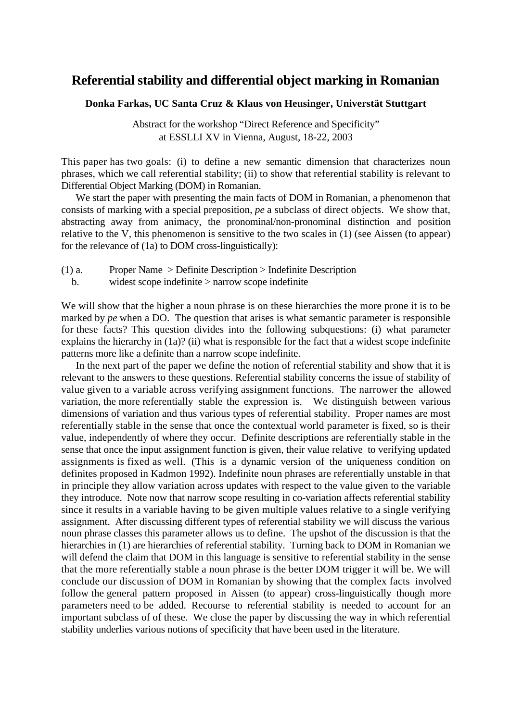## **Referential stability and differential object marking in Romanian**

### **Donka Farkas, UC Santa Cruz & Klaus von Heusinger, Universtät Stuttgart**

Abstract for the workshop "Direct Reference and Specificity" at ESSLLI XV in Vienna, August, 18-22, 2003

This paper has two goals: (i) to define a new semantic dimension that characterizes noun phrases, which we call referential stability; (ii) to show that referential stability is relevant to Differential Object Marking (DOM) in Romanian.

We start the paper with presenting the main facts of DOM in Romanian, a phenomenon that consists of marking with a special preposition, *pe* a subclass of direct objects. We show that, abstracting away from animacy, the pronominal/non-pronominal distinction and position relative to the V, this phenomenon is sensitive to the two scales in (1) (see Aissen (to appear) for the relevance of (1a) to DOM cross-linguistically):

(1) a. Proper Name > Definite Description > Indefinite Description

b. widest scope indefinite > narrow scope indefinite

We will show that the higher a noun phrase is on these hierarchies the more prone it is to be marked by *pe* when a DO. The question that arises is what semantic parameter is responsible for these facts? This question divides into the following subquestions: (i) what parameter explains the hierarchy in (1a)? (ii) what is responsible for the fact that a widest scope indefinite patterns more like a definite than a narrow scope indefinite.

In the next part of the paper we define the notion of referential stability and show that it is relevant to the answers to these questions. Referential stability concerns the issue of stability of value given to a variable across verifying assignment functions. The narrower the allowed variation, the more referentially stable the expression is. We distinguish between various dimensions of variation and thus various types of referential stability. Proper names are most referentially stable in the sense that once the contextual world parameter is fixed, so is their value, independently of where they occur. Definite descriptions are referentially stable in the sense that once the input assignment function is given, their value relative to verifying updated assignments is fixed as well. (This is a dynamic version of the uniqueness condition on definites proposed in Kadmon 1992). Indefinite noun phrases are referentially unstable in that in principle they allow variation across updates with respect to the value given to the variable they introduce. Note now that narrow scope resulting in co-variation affects referential stability since it results in a variable having to be given multiple values relative to a single verifying assignment. After discussing different types of referential stability we will discuss the various noun phrase classes this parameter allows us to define. The upshot of the discussion is that the hierarchies in (1) are hierarchies of referential stability. Turning back to DOM in Romanian we will defend the claim that DOM in this language is sensitive to referential stability in the sense that the more referentially stable a noun phrase is the better DOM trigger it will be. We will conclude our discussion of DOM in Romanian by showing that the complex facts involved follow the general pattern proposed in Aissen (to appear) cross-linguistically though more parameters need to be added. Recourse to referential stability is needed to account for an important subclass of of these. We close the paper by discussing the way in which referential stability underlies various notions of specificity that have been used in the literature.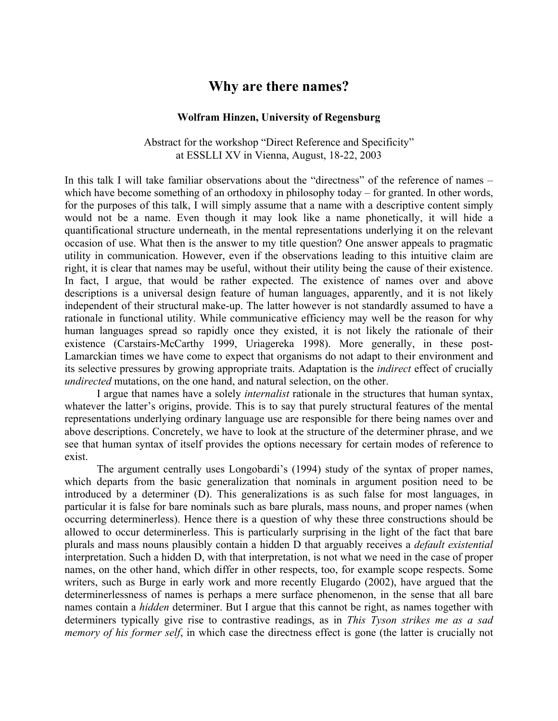## **Why are there names?**

### **Wolfram Hinzen, University of Regensburg**

Abstract for the workshop "Direct Reference and Specificity" at ESSLLI XV in Vienna, August, 18-22, 2003

In this talk I will take familiar observations about the "directness" of the reference of names – which have become something of an orthodoxy in philosophy today – for granted. In other words, for the purposes of this talk, I will simply assume that a name with a descriptive content simply would not be a name. Even though it may look like a name phonetically, it will hide a quantificational structure underneath, in the mental representations underlying it on the relevant occasion of use. What then is the answer to my title question? One answer appeals to pragmatic utility in communication. However, even if the observations leading to this intuitive claim are right, it is clear that names may be useful, without their utility being the cause of their existence. In fact, I argue, that would be rather expected. The existence of names over and above descriptions is a universal design feature of human languages, apparently, and it is not likely independent of their structural make-up. The latter however is not standardly assumed to have a rationale in functional utility. While communicative efficiency may well be the reason for why human languages spread so rapidly once they existed, it is not likely the rationale of their existence (Carstairs-McCarthy 1999, Uriagereka 1998). More generally, in these post-Lamarckian times we have come to expect that organisms do not adapt to their environment and its selective pressures by growing appropriate traits. Adaptation is the *indirect* effect of crucially *undirected* mutations, on the one hand, and natural selection, on the other.

I argue that names have a solely *internalist* rationale in the structures that human syntax, whatever the latter's origins, provide. This is to say that purely structural features of the mental representations underlying ordinary language use are responsible for there being names over and above descriptions. Concretely, we have to look at the structure of the determiner phrase, and we see that human syntax of itself provides the options necessary for certain modes of reference to exist.

The argument centrally uses Longobardi's (1994) study of the syntax of proper names, which departs from the basic generalization that nominals in argument position need to be introduced by a determiner (D). This generalizations is as such false for most languages, in particular it is false for bare nominals such as bare plurals, mass nouns, and proper names (when occurring determinerless). Hence there is a question of why these three constructions should be allowed to occur determinerless. This is particularly surprising in the light of the fact that bare plurals and mass nouns plausibly contain a hidden D that arguably receives a *default existential* interpretation. Such a hidden D, with that interpretation, is not what we need in the case of proper names, on the other hand, which differ in other respects, too, for example scope respects. Some writers, such as Burge in early work and more recently Elugardo (2002), have argued that the determinerlessness of names is perhaps a mere surface phenomenon, in the sense that all bare names contain a *hidden* determiner. But I argue that this cannot be right, as names together with determiners typically give rise to contrastive readings, as in *This Tyson strikes me as a sad memory of his former self*, in which case the directness effect is gone (the latter is crucially not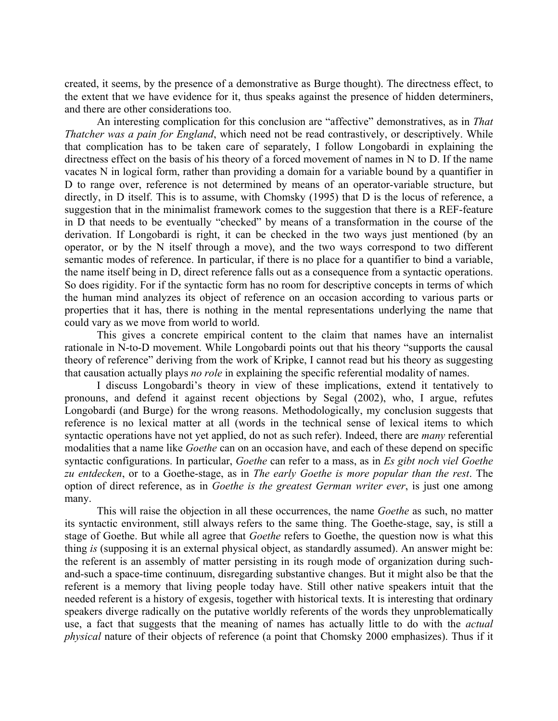created, it seems, by the presence of a demonstrative as Burge thought). The directness effect, to the extent that we have evidence for it, thus speaks against the presence of hidden determiners, and there are other considerations too.

An interesting complication for this conclusion are "affective" demonstratives, as in *That Thatcher was a pain for England*, which need not be read contrastively, or descriptively. While that complication has to be taken care of separately, I follow Longobardi in explaining the directness effect on the basis of his theory of a forced movement of names in N to D. If the name vacates N in logical form, rather than providing a domain for a variable bound by a quantifier in D to range over, reference is not determined by means of an operator-variable structure, but directly, in D itself. This is to assume, with Chomsky (1995) that D is the locus of reference, a suggestion that in the minimalist framework comes to the suggestion that there is a REF-feature in D that needs to be eventually "checked" by means of a transformation in the course of the derivation. If Longobardi is right, it can be checked in the two ways just mentioned (by an operator, or by the N itself through a move), and the two ways correspond to two different semantic modes of reference. In particular, if there is no place for a quantifier to bind a variable, the name itself being in D, direct reference falls out as a consequence from a syntactic operations. So does rigidity. For if the syntactic form has no room for descriptive concepts in terms of which the human mind analyzes its object of reference on an occasion according to various parts or properties that it has, there is nothing in the mental representations underlying the name that could vary as we move from world to world.

This gives a concrete empirical content to the claim that names have an internalist rationale in N-to-D movement. While Longobardi points out that his theory "supports the causal theory of reference" deriving from the work of Kripke, I cannot read but his theory as suggesting that causation actually plays *no role* in explaining the specific referential modality of names.

I discuss Longobardi's theory in view of these implications, extend it tentatively to pronouns, and defend it against recent objections by Segal (2002), who, I argue, refutes Longobardi (and Burge) for the wrong reasons. Methodologically, my conclusion suggests that reference is no lexical matter at all (words in the technical sense of lexical items to which syntactic operations have not yet applied, do not as such refer). Indeed, there are *many* referential modalities that a name like *Goethe* can on an occasion have, and each of these depend on specific syntactic configurations. In particular, *Goethe* can refer to a mass, as in *Es gibt noch viel Goethe zu entdecken*, or to a Goethe-stage, as in *The early Goethe is more popular than the rest*. The option of direct reference, as in *Goethe is the greatest German writer ever*, is just one among many.

This will raise the objection in all these occurrences, the name *Goethe* as such, no matter its syntactic environment, still always refers to the same thing. The Goethe-stage, say, is still a stage of Goethe. But while all agree that *Goethe* refers to Goethe, the question now is what this thing *is* (supposing it is an external physical object, as standardly assumed). An answer might be: the referent is an assembly of matter persisting in its rough mode of organization during suchand-such a space-time continuum, disregarding substantive changes. But it might also be that the referent is a memory that living people today have. Still other native speakers intuit that the needed referent is a history of exgesis, together with historical texts. It is interesting that ordinary speakers diverge radically on the putative worldly referents of the words they unproblematically use, a fact that suggests that the meaning of names has actually little to do with the *actual physical* nature of their objects of reference (a point that Chomsky 2000 emphasizes). Thus if it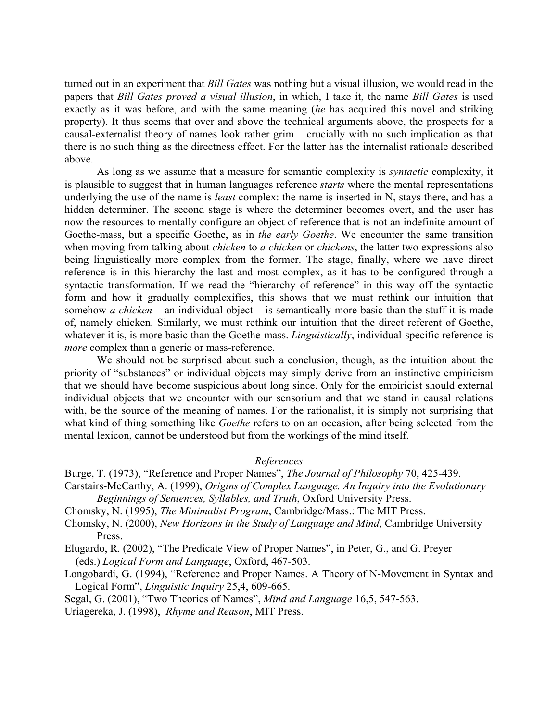turned out in an experiment that *Bill Gates* was nothing but a visual illusion, we would read in the papers that *Bill Gates proved a visual illusion*, in which, I take it, the name *Bill Gates* is used exactly as it was before, and with the same meaning (*he* has acquired this novel and striking property). It thus seems that over and above the technical arguments above, the prospects for a causal-externalist theory of names look rather grim – crucially with no such implication as that there is no such thing as the directness effect. For the latter has the internalist rationale described above.

As long as we assume that a measure for semantic complexity is *syntactic* complexity, it is plausible to suggest that in human languages reference *starts* where the mental representations underlying the use of the name is *least* complex: the name is inserted in N, stays there, and has a hidden determiner. The second stage is where the determiner becomes overt, and the user has now the resources to mentally configure an object of reference that is not an indefinite amount of Goethe-mass, but a specific Goethe, as in *the early Goethe*. We encounter the same transition when moving from talking about *chicken* to *a chicken* or *chickens*, the latter two expressions also being linguistically more complex from the former. The stage, finally, where we have direct reference is in this hierarchy the last and most complex, as it has to be configured through a syntactic transformation. If we read the "hierarchy of reference" in this way off the syntactic form and how it gradually complexifies, this shows that we must rethink our intuition that somehow *a chicken* – an individual object – is semantically more basic than the stuff it is made of, namely chicken. Similarly, we must rethink our intuition that the direct referent of Goethe, whatever it is, is more basic than the Goethe-mass. *Linguistically*, individual-specific reference is *more* complex than a generic or mass-reference.

We should not be surprised about such a conclusion, though, as the intuition about the priority of "substances" or individual objects may simply derive from an instinctive empiricism that we should have become suspicious about long since. Only for the empiricist should external individual objects that we encounter with our sensorium and that we stand in causal relations with, be the source of the meaning of names. For the rationalist, it is simply not surprising that what kind of thing something like *Goethe* refers to on an occasion, after being selected from the mental lexicon, cannot be understood but from the workings of the mind itself.

### *References*

- Burge, T. (1973), "Reference and Proper Names", *The Journal of Philosophy* 70, 425-439.
- Carstairs-McCarthy, A. (1999), *Origins of Complex Language. An Inquiry into the Evolutionary Beginnings of Sentences, Syllables, and Truth*, Oxford University Press.
- Chomsky, N. (1995), *The Minimalist Program*, Cambridge/Mass.: The MIT Press.
- Chomsky, N. (2000), *New Horizons in the Study of Language and Mind*, Cambridge University Press.

Elugardo, R. (2002), "The Predicate View of Proper Names", in Peter, G., and G. Preyer (eds.) *Logical Form and Language*, Oxford, 467-503.

Longobardi, G. (1994), "Reference and Proper Names. A Theory of N-Movement in Syntax and Logical Form", *Linguistic Inquiry* 25,4, 609-665.

Segal, G. (2001), "Two Theories of Names", *Mind and Language* 16,5, 547-563.

Uriagereka, J. (1998), *Rhyme and Reason*, MIT Press.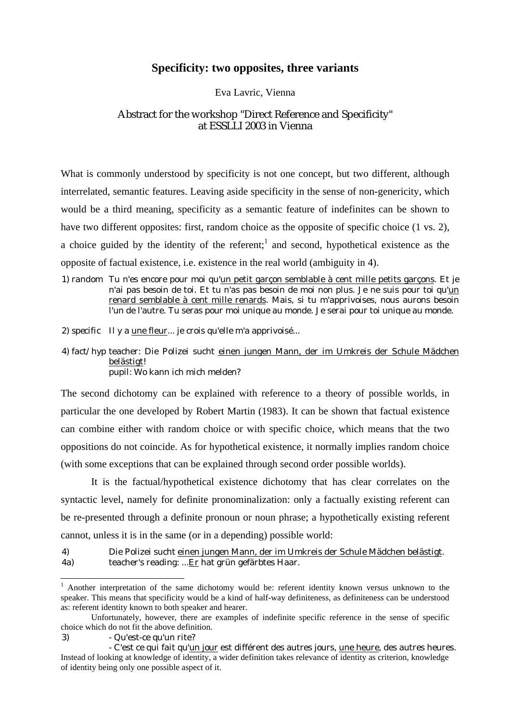## **Specificity: two opposites, three variants**

### Eva Lavric, Vienna

## Abstract for the workshop "Direct Reference and Specificity" at ESSLLI 2003 in Vienna

What is commonly understood by specificity is not one concept, but two different, although interrelated, semantic features. Leaving aside specificity in the sense of non-genericity, which would be a third meaning, specificity as a semantic feature of indefinites can be shown to have two different opposites: first, random choice as the opposite of specific choice (1 vs. 2), a choice guided by the identity of the referent;<sup>1</sup> and second, hypothetical existence as the opposite of factual existence, i.e. existence in the real world (ambiguity in 4).

1) *random* Tu n'es encore pour moi qu'un petit garçon semblable à cent mille petits garçons. Et je n'ai pas besoin de toi. Et tu n'as pas besoin de moi non plus. Je ne suis pour toi qu'un renard semblable à cent mille renards. Mais, si tu m'apprivoises, nous aurons besoin l'un de l'autre. Tu seras pour moi unique au monde. Je serai pour toi unique au monde.

2) *specific* Il y a une fleur... je crois qu'elle m'a apprivoisé...

4) *fact/hyp* teacher: Die Polizei sucht einen jungen Mann, der im Umkreis der Schule Mädchen belästigt! pupil: Wo kann ich mich melden?

The second dichotomy can be explained with reference to a theory of possible worlds, in particular the one developed by Robert Martin (1983). It can be shown that factual existence can combine either with random choice or with specific choice, which means that the two oppositions do not coincide. As for hypothetical existence, it normally implies random choice (with some exceptions that can be explained through second order possible worlds).

It is the factual/hypothetical existence dichotomy that has clear correlates on the syntactic level, namely for definite pronominalization: only a factually existing referent can be re-presented through a definite pronoun or noun phrase; a hypothetically existing referent cannot, unless it is in the same (or in a depending) possible world:

 $\overline{a}$ 

<sup>4)</sup> Die Polizei sucht einen jungen Mann, der im Umkreis der Schule Mädchen belästigt. 4a) teacher's reading: ...Er hat grün gefärbtes Haar.

<sup>&</sup>lt;sup>1</sup> Another interpretation of the same dichotomy would be: referent identity known versus unknown to the speaker. This means that specificity would be a kind of half-way definiteness, as definiteness can be understood as: referent identity known to both speaker and hearer.

Unfortunately, however, there are examples of indefinite specific reference in the sense of specific choice which do not fit the above definition.

<sup>3) -</sup> Qu'est-ce qu'un rite?

<sup>-</sup> C'est ce qui fait qu'un jour est différent des autres jours, une heure, des autres heures. Instead of looking at knowledge of identity, a wider definition takes relevance of identity as criterion, knowledge of identity being only one possible aspect of it.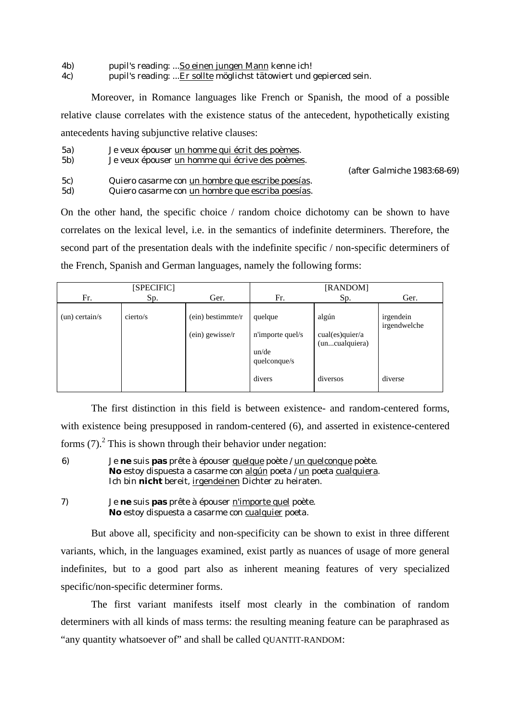4b) pupil's reading: ...So einen jungen Mann kenne ich!

4c) pupil's reading: ...Er sollte möglichst tätowiert und gepierced sein.

Moreover, in Romance languages like French or Spanish, the mood of a possible relative clause correlates with the existence status of the antecedent, hypothetically existing antecedents having subjunctive relative clauses:

- 5a) Je veux épouser un homme qui écrit des poèmes.
- 5b) Je veux épouser un homme qui écrive des poèmes.

(after Galmiche 1983:68-69)

5c) Quiero casarme con un hombre que escribe poesías. 5d) Quiero casarme con un hombre que escriba poesías.

On the other hand, the specific choice / random choice dichotomy can be shown to have correlates on the lexical level, i.e. in the semantics of indefinite determiners. Therefore, the second part of the presentation deals with the indefinite specific / non-specific determiners of the French, Spanish and German languages, namely the following forms:

|                  | [SPECIFIC] |                                        |                                                      | [RANDOM]                                   |                           |
|------------------|------------|----------------------------------------|------------------------------------------------------|--------------------------------------------|---------------------------|
| Fr.              | Sp.        | Ger.                                   | Fr.                                                  | Sp.                                        | Ger.                      |
| $(un)$ certain/s | cierto/s   | $(ein)$ bestimmte/r<br>(ein) gewisse/r | quelque<br>n'importe quel/s<br>un/de<br>quelconque/s | algún<br>cual(es)quier/a<br>(uncualquiera) | irgendein<br>irgendwelche |
|                  |            |                                        | divers                                               | diversos                                   | diverse                   |

The first distinction in this field is between existence- and random-centered forms, with existence being presupposed in random-centered (6), and asserted in existence-centered forms  $(7)$ . This is shown through their behavior under negation:

6) Je **ne** suis **pas** prête à épouser quelque poète / un quelconque poète. No estoy dispuesta a casarme con algún poeta / un poeta cualquiera. Ich bin **nicht** bereit, irgendeinen Dichter zu heiraten.

7) Je **ne** suis **pas** prête à épouser n'importe quel poète. **No** estoy dispuesta a casarme con cualquier poeta.

But above all, specificity and non-specificity can be shown to exist in three different variants, which, in the languages examined, exist partly as nuances of usage of more general indefinites, but to a good part also as inherent meaning features of very specialized specific/non-specific determiner forms.

The first variant manifests itself most clearly in the combination of random determiners with all kinds of mass terms: the resulting meaning feature can be paraphrased as "any quantity whatsoever of" and shall be called QUANTIT-RANDOM: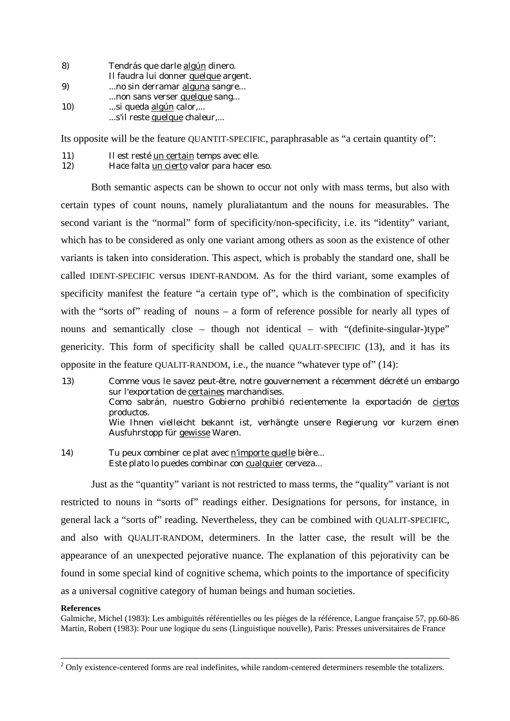| $\bf{8}$ | Tendrás que darle algún dinero.      |
|----------|--------------------------------------|
|          | Il faudra lui donner quelque argent. |
| 9)       | no sin derramar alguna sangre        |
|          | non sans verser quelque sang         |
| 10)      | si queda algún calor,                |
|          | s'il reste quelque chaleur,          |

Its opposite will be the feature OUANTIT-SPECIFIC, paraphrasable as "a certain quantity of":

- 11) Il est resté un certain temps avec elle.
- 12) Hace falta un cierto valor para hacer eso.

Both semantic aspects can be shown to occur not only with mass terms, but also with certain types of count nouns, namely pluraliatantum and the nouns for measurables. The second variant is the "normal" form of specificity/non-specificity, i.e. its "identity" variant, which has to be considered as only one variant among others as soon as the existence of other variants is taken into consideration. This aspect, which is probably the standard one, shall be called IDENT-SPECIFIC versus IDENT-RANDOM. As for the third variant, some examples of specificity manifest the feature "a certain type of", which is the combination of specificity with the "sorts of" reading of nouns – a form of reference possible for nearly all types of nouns and semantically close – though not identical – with "(definite-singular-)type" genericity. This form of specificity shall be called QUALIT-SPECIFIC (13), and it has its opposite in the feature QUALIT-RANDOM, i.e., the nuance "whatever type of" (14):

- 13) Comme vous le savez peut-être, notre gouvernement a récemment décrété un embargo sur l'exportation de certaines marchandises. Como sabrán, nuestro Gobierno prohibió recientemente la exportación de ciertos productos. Wie Ihnen vielleicht bekannt ist, verhängte unsere Regierung vor kurzem einen Ausfuhrstopp für gewisse Waren.
- 14) Tu peux combiner ce plat avec n'importe quelle bière... Este plato lo puedes combinar con cualquier cerveza...

Just as the "quantity" variant is not restricted to mass terms, the "quality" variant is not restricted to nouns in "sorts of" readings either. Designations for persons, for instance, in general lack a "sorts of" reading. Nevertheless, they can be combined with QUALIT-SPECIFIC, and also with QUALIT-RANDOM, determiners. In the latter case, the result will be the appearance of an unexpected pejorative nuance. The explanation of this pejorativity can be found in some special kind of cognitive schema, which points to the importance of specificity as a universal cognitive category of human beings and human societies.

#### **References**

 $\overline{a}$ 

Galmiche, Michel (1983): Les ambiguïtés référentielles ou les pièges de la référence, Langue française 57, pp.60-86 Martin, Robert (1983): Pour une logique du sens (Linguistique nouvelle), Paris: Presses universitaires de France

 $2$  Only existence-centered forms are real indefinites, while random-centered determiners resemble the totalizers.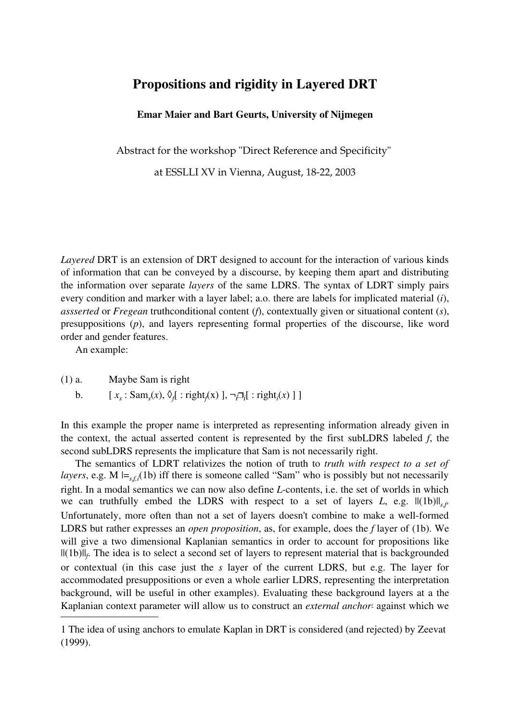## **Propositions and rigidity in Layered DRT**

### **Emar Maier and Bart Geurts, University of Nijmegen**

Abstract for the workshop "Direct Reference and Specificity"

at ESSLLI XV in Vienna, August, 18-22, 2003

*Layered* DRT is an extension of DRT designed to account for the interaction of various kinds of information that can be conveyed by a discourse, by keeping them apart and distributing the information over separate *layers* of the same LDRS. The syntax of LDRT simply pairs every condition and marker with a layer label; a.o. there are labels for implicated material (*i*), *assserted* or *Fregean* truthconditional content (*f*), contextually given or situational content (*s*), presuppositions (*p*), and layers representing formal properties of the discourse, like word order and gender features.

An example:

(1) a. Maybe Sam is right

b.  $[x_s : Sam_s(x), \Diamond_f] : right_f(x) ], \neg_i [i : right_i(x) ] ]$ 

In this example the proper name is interpreted as representing information already given in the context, the actual asserted content is represented by the first subLDRS labeled *f*, the second subLDRS represents the implicature that Sam is not necessarily right.

The semantics of LDRT relativizes the notion of truth to *truth with respect to a set of layers*, e.g. M  $\models$ <sub>s,*f,i*</sub>(1b) iff there is someone called "Sam" who is possibly but not necessarily right. In a modal semantics we can now also define *L*-contents, i.e. the set of worlds in which we can truthfully embed the LDRS with respect to a set of layers *L*, e.g.  $||(1b)||_{s,f}$ . Unfortunately, more often than not a set of layers doesn't combine to make a well-formed LDRS but rather expresses an *open proposition*, as, for example, does the *f* layer of (1b). We will give a two dimensional Kaplanian semantics in order to account for propositions like ||(1b)||*<sup>f</sup>* . The idea is to select a second set of layers to represent material that is backgrounded or contextual (in this case just the *s* layer of the current LDRS, but e.g. The layer for accommodated presuppositions or even a whole earlier LDRS, representing the interpretation background, will be useful in other examples). Evaluating these background layers at a the Kaplanian context parameter will allow us to construct an *external anchor<sup>1</sup>* against which we

<sup>1</sup> The idea of using anchors to emulate Kaplan in DRT is considered (and rejected) by Zeevat (1999).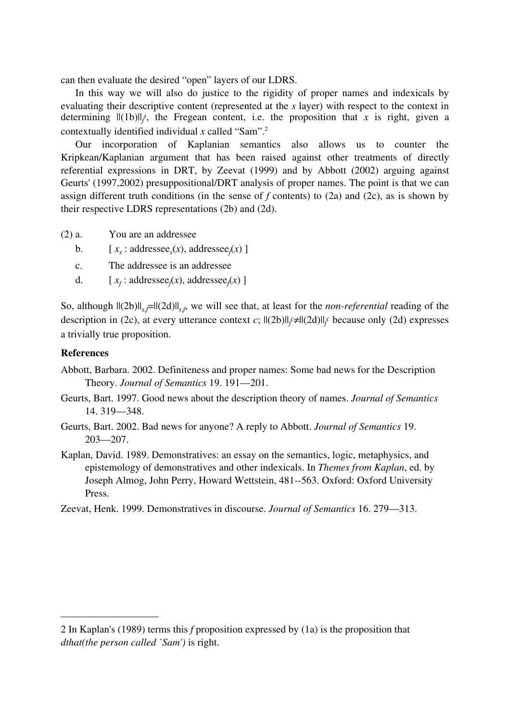can then evaluate the desired "open" layers of our LDRS.

In this way we will also do justice to the rigidity of proper names and indexicals by evaluating their descriptive content (represented at the *s* layer) with respect to the context in determining  $||(1b)||_f$ , the Fregean content, i.e. the proposition that *x* is right, given a contextually identified individual *x* called "Sam".<sup>2</sup>

Our incorporation of Kaplanian semantics also allows us to counter the Kripkean/Kaplanian argument that has been raised against other treatments of directly referential expressions in DRT, by Zeevat (1999) and by Abbott (2002) arguing against Geurts' (1997,2002) presuppositional/DRT analysis of proper names. The point is that we can assign different truth conditions (in the sense of *f* contents) to (2a) and (2c), as is shown by their respective LDRS representations (2b) and (2d).

- (2) a. You are an addressee
	- b.  $[x_s: \text{addressee}_s(x), \text{addressee}_f(x)]$
	- c. The addressee is an addressee
	- d.  $[x_f: \text{addressee}_f(x), \text{addressee}_f(x)]$

So, although  $||(2b)||_{s,f}$ = $||(2d)||_{s,f}$  we will see that, at least for the *non-referential* reading of the description in (2c), at every utterance context *c*;  $||(2b)||_f \neq ||(2d)||_f$  because only (2d) expresses a trivially true proposition.

### **References**

- Abbott, Barbara. 2002. Definiteness and proper names: Some bad news for the Description Theory. *Journal of Semantics* 19. 191—201.
- Geurts, Bart. 1997. Good news about the description theory of names. *Journal of Semantics* 14. 319—348.
- Geurts, Bart. 2002. Bad news for anyone? A reply to Abbott. *Journal of Semantics* 19. 203—207.
- Kaplan, David. 1989. Demonstratives: an essay on the semantics, logic, metaphysics, and epistemology of demonstratives and other indexicals. In *Themes from Kaplan*, ed. by Joseph Almog, John Perry, Howard Wettstein, 481--563. Oxford: Oxford University Press.
- Zeevat, Henk. 1999. Demonstratives in discourse. *Journal of Semantics* 16. 279—313.

<sup>2</sup> In Kaplan's (1989) terms this *f* proposition expressed by (1a) is the proposition that *dthat(the person called `Sam')* is right.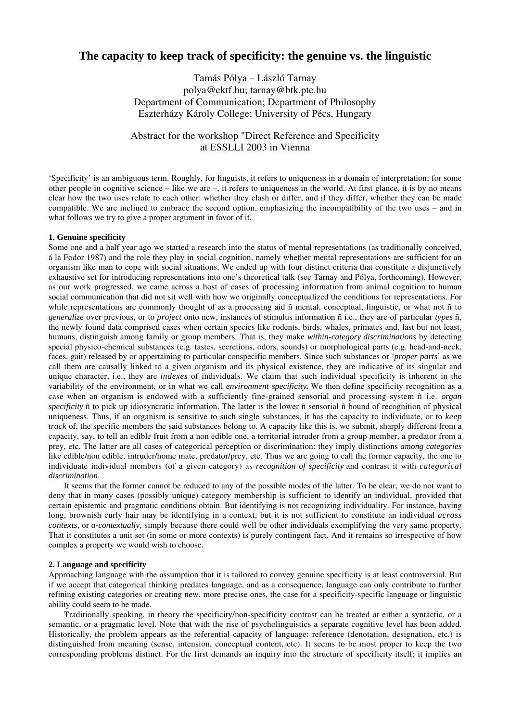## **The capacity to keep track of specificity: the genuine vs. the linguistic**

Tamás Pólya – László Tarnay polya@ektf.hu; tarnay@btk.pte.hu Department of Communication; Department of Philosophy Eszterházy Károly College; University of Pécs, Hungary

Abstract for the workshop "Direct Reference and Specificity at ESSLLI 2003 in Vienna

'Specificity' is an ambiguous term. Roughly, for linguists, it refers to uniqueness in a domain of interpretation; for some other people in cognitive science – like we are  $-$ , it refers to uniqueness in the world. At first glance, it is by no means clear how the two uses relate to each other: whether they clash or differ, and if they differ, whether they can be made compatible. We are inclined to embrace the second option, emphasizing the incompatibility of the two uses – and in what follows we try to give a proper argument in favor of it.

#### **1. Genuine specificity**

Some one and a half year ago we started a research into the status of mental representations (as traditionally conceived, á la Fodor 1987) and the role they play in social cognition, namely whether mental representations are sufficient for an organism like man to cope with social situations. We ended up with four distinct criteria that constitute a disjunctively exhaustive set for introducing representations into one's theoretical talk (see Tarnay and Pólya, forthcoming). However, as our work progressed, we came across a host of cases of processing information from animal cognition to human social communication that did not sit well with how we originally conceptualized the conditions for representations. For while representations are commonly thought of as a processing aid  $ñ$  mental, conceptual, linguistic, or what not  $ñ$  to *generalize* over previous, or to *project* onto new, instances of stimulus information ñ i.e., they are of particular *types* ñ, the newly found data comprised cases when certain species like rodents, birds, whales, primates and, last but not least, humans, distinguish among family or group members. That is, they make *within-category discriminations* by detecting special physico-chemical substances (e.g. tastes, secretions, odors, sounds) or morphological parts (e.g. head-and-neck, faces, gait) released by or appertaining to particular conspecific members. Since such substances or '*proper parts*' as we call them are causally linked to a given organism and its physical existence, they are indicative of its singular and unique character, i.e., they are *indexes* of individuals. We claim that such individual specificity is inherent in the variability of the environment, or in what we call *environment specificity.* We then define specificity recognition as a case when an organism is endowed with a sufficiently fine-grained sensorial and processing system ñ i.e. *organ specificity* ñ to pick up idiosyncratic information. The latter is the lower ñ sensorial ñ bound of recognition of physical uniqueness. Thus, if an organism is sensitive to such single substances, it has the capacity to individuate, or to *keep track* of, the specific members the said substances belong to. A capacity like this is, we submit, sharply different from a capacity, say, to tell an edible fruit from a non edible one, a territorial intruder from a group member, a predator from a prey, etc. The latter are all cases of categorical perception or discrimination: they imply distinctions *among categories* like edible/non edible, intruder/home mate, predator/prey, etc. Thus we are going to call the former capacity, the one to individuate individual members (of a given category) as *recognition of specificity* and contrast it with *categorical discrimination*.

It seems that the former cannot be reduced to any of the possible modes of the latter. To be clear, we do not want to deny that in many cases (possibly unique) category membership is sufficient to identify an individual, provided that certain epistemic and pragmatic conditions obtain. But identifying is not recognizing individuality. For instance, having long, brownish curly hair may be identifying in a context, but it is not sufficient to constitute an individual *across contexts*, or *a-contextually*, simply because there could well be other individuals exemplifying the very same property. That it constitutes a unit set (in some or more contexts) is purely contingent fact. And it remains so irrespective of how complex a property we would wish to choose.

#### **2. Language and specificity**

Approaching language with the assumption that it is tailored to convey genuine specificity is at least controversial. But if we accept that categorical thinking predates language, and as a consequence, language can only contribute to further refining existing categories or creating new, more precise ones, the case for a specificity-specific language or linguistic ability could seem to be made.

Traditionally speaking, in theory the specificity/non-specificity contrast can be treated at either a syntactic, or a semantic, or a pragmatic level. Note that with the rise of psycholinguistics a separate cognitive level has been added. Historically, the problem appears as the referential capacity of language: reference (denotation, designation, etc.) is distinguished from meaning (sense, intension, conceptual content, etc). It seems to be most proper to keep the two corresponding problems distinct. For the first demands an inquiry into the structure of specificity itself; it implies an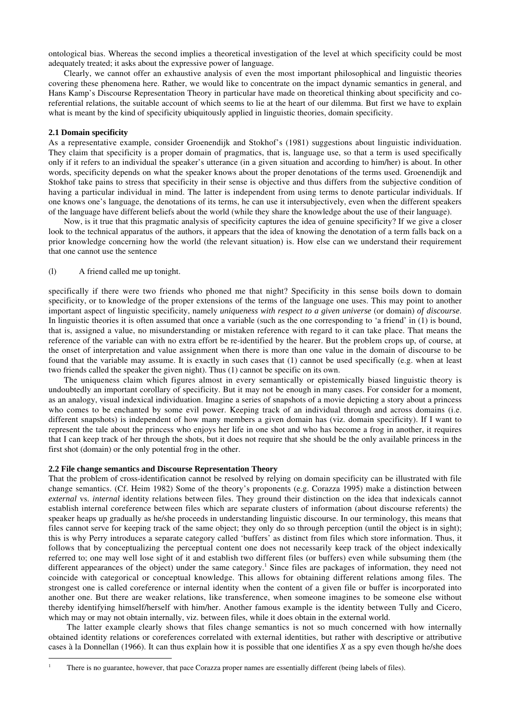ontological bias. Whereas the second implies a theoretical investigation of the level at which specificity could be most adequately treated; it asks about the expressive power of language.

Clearly, we cannot offer an exhaustive analysis of even the most important philosophical and linguistic theories covering these phenomena here. Rather, we would like to concentrate on the impact dynamic semantics in general, and Hans Kamp's Discourse Representation Theory in particular have made on theoretical thinking about specificity and coreferential relations, the suitable account of which seems to lie at the heart of our dilemma. But first we have to explain what is meant by the kind of specificity ubiquitously applied in linguistic theories, domain specificity.

#### **2.1 Domain specificity**

As a representative example, consider Groenendijk and Stokhof's (1981) suggestions about linguistic individuation. They claim that specificity is a proper domain of pragmatics, that is, language use, so that a term is used specifically only if it refers to an individual the speaker's utterance (in a given situation and according to him/her) is about. In other words, specificity depends on what the speaker knows about the proper denotations of the terms used. Groenendijk and Stokhof take pains to stress that specificity in their sense is objective and thus differs from the subjective condition of having a particular individual in mind. The latter is independent from using terms to denote particular individuals. If one knows one's language, the denotations of its terms, he can use it intersubjectively, even when the different speakers of the language have different beliefs about the world (while they share the knowledge about the use of their language).

Now, is it true that this pragmatic analysis of specificity captures the idea of genuine specificity? If we give a closer look to the technical apparatus of the authors, it appears that the idea of knowing the denotation of a term falls back on a prior knowledge concerning how the world (the relevant situation) is. How else can we understand their requirement that one cannot use the sentence

#### (l) A friend called me up tonight.

specifically if there were two friends who phoned me that night? Specificity in this sense boils down to domain specificity, or to knowledge of the proper extensions of the terms of the language one uses. This may point to another important aspect of linguistic specificity, namely *uniqueness with respect to a given universe* (or domain) *of discourse*. In linguistic theories it is often assumed that once a variable (such as the one corresponding to 'a friend' in (1) is bound, that is, assigned a value, no misunderstanding or mistaken reference with regard to it can take place. That means the reference of the variable can with no extra effort be re-identified by the hearer. But the problem crops up, of course, at the onset of interpretation and value assignment when there is more than one value in the domain of discourse to be found that the variable may assume. It is exactly in such cases that (1) cannot be used specifically (e.g. when at least two friends called the speaker the given night). Thus (1) cannot be specific on its own.

The uniqueness claim which figures almost in every semantically or epistemically biased linguistic theory is undoubtedly an important corollary of specificity. But it may not be enough in many cases. For consider for a moment, as an analogy, visual indexical individuation. Imagine a series of snapshots of a movie depicting a story about a princess who comes to be enchanted by some evil power. Keeping track of an individual through and across domains (i.e. different snapshots) is independent of how many members a given domain has (viz. domain specificity). If I want to represent the tale about the princess who enjoys her life in one shot and who has become a frog in another, it requires that I can keep track of her through the shots, but it does not require that she should be the only available princess in the first shot (domain) or the only potential frog in the other.

#### **2.2 File change semantics and Discourse Representation Theory**

That the problem of cross-identification cannot be resolved by relying on domain specificity can be illustrated with file change semantics. (Cf. Heim 1982) Some of the theory's proponents (e.g. Corazza 1995) make a distinction between *external* vs. *internal* identity relations between files. They ground their distinction on the idea that indexicals cannot establish internal coreference between files which are separate clusters of information (about discourse referents) the speaker heaps up gradually as he/she proceeds in understanding linguistic discourse. In our terminology, this means that files cannot serve for keeping track of the same object; they only do so through perception (until the object is in sight); this is why Perry introduces a separate category called 'buffers' as distinct from files which store information. Thus, it follows that by conceptualizing the perceptual content one does not necessarily keep track of the object indexically referred to; one may well lose sight of it and establish two different files (or buffers) even while subsuming them (the different appearances of the object) under the same category.<sup>1</sup> Since files are packages of information, they need not coincide with categorical or conceptual knowledge. This allows for obtaining different relations among files. The strongest one is called coreference or internal identity when the content of a given file or buffer is incorporated into another one. But there are weaker relations, like transference, when someone imagines to be someone else without thereby identifying himself/herself with him/her. Another famous example is the identity between Tully and Cicero, which may or may not obtain internally, viz. between files, while it does obtain in the external world.

The latter example clearly shows that files change semantics is not so much concerned with how internally obtained identity relations or coreferences correlated with external identities, but rather with descriptive or attributive cases à la Donnellan (1966). It can thus explain how it is possible that one identifies *X* as a spy even though he/she does

1 There is no guarantee, however, that pace Corazza proper names are essentially different (being labels of files).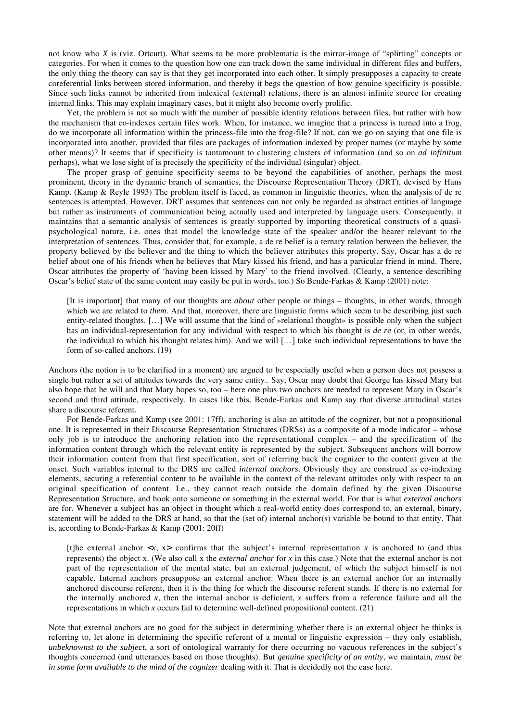not know who *X* is (viz. Ortcutt). What seems to be more problematic is the mirror-image of "splitting" concepts or categories. For when it comes to the question how one can track down the same individual in different files and buffers, the only thing the theory can say is that they get incorporated into each other. It simply presupposes a capacity to create coreferential links between stored information, and thereby it begs the question of how genuine specificity is possible. Since such links cannot be inherited from indexical (external) relations, there is an almost infinite source for creating internal links. This may explain imaginary cases, but it might also become overly prolific.

Yet, the problem is not so much with the number of possible identity relations between files, but rather with how the mechanism that co-indexes certain files work. When, for instance, we imagine that a princess is turned into a frog, do we incorporate all information within the princess-file into the frog-file? If not, can we go on saying that one file is incorporated into another, provided that files are packages of information indexed by proper names (or maybe by some other means)? It seems that if specificity is tantamount to clustering clusters of information (and so on *ad infinitum* perhaps), what we lose sight of is precisely the specificity of the individual (singular) object.

The proper grasp of genuine specificity seems to be beyond the capabilities of another, perhaps the most prominent, theory in the dynamic branch of semantics, the Discourse Representation Theory (DRT), devised by Hans Kamp. (Kamp & Reyle 1993) The problem itself is faced, as common in linguistic theories, when the analysis of de re sentences is attempted. However, DRT assumes that sentences can not only be regarded as abstract entities of language but rather as instruments of communication being actually used and interpreted by language users. Consequently, it maintains that a semantic analysis of sentences is greatly supported by importing theoretical constructs of a quasipsychological nature, i.e. ones that model the knowledge state of the speaker and/or the hearer relevant to the interpretation of sentences. Thus, consider that, for example, a de re belief is a ternary relation between the believer, the property believed by the believer and the thing to which the believer attributes this property. Say, Oscar has a de re belief about one of his friends when he believes that Mary kissed his friend, and has a particular friend in mind. There, Oscar attributes the property of 'having been kissed by Mary' to the friend involved. (Clearly, a sentence describing Oscar's belief state of the same content may easily be put in words, too.) So Bende-Farkas & Kamp (2001) note:

[It is important] that many of our thoughts are *about* other people or things – thoughts, in other words, through which we are related to *them*. And that, moreover, there are linguistic forms which seem to be describing just such entity-related thoughts. […] We will assume that the kind of »relational thought« is possible only when the subject has an individual-representation for any individual with respect to which his thought is *de re* (or, in other words, the individual to which his thought relates him). And we will […] take such individual representations to have the form of so-called anchors. (19)

Anchors (the notion is to be clarified in a moment) are argued to be especially useful when a person does not possess a single but rather a set of attitudes towards the very same entity.. Say, Oscar may doubt that George has kissed Mary but also hope that he will and that Mary hopes so, too – here one plus two anchors are needed to represent Mary in Oscar's second and third attitude, respectively. In cases like this, Bende-Farkas and Kamp say that diverse attitudinal states share a discourse referent.

For Bende-Farkas and Kamp (see 2001: 17ff), anchoring is also an attitude of the cognizer, but not a propositional one. It is represented in their Discourse Representation Structures (DRSs) as a composite of a mode indicator – whose only job is to introduce the anchoring relation into the representational complex – and the specification of the information content through which the relevant entity is represented by the subject. Subsequent anchors will borrow their information content from that first specification, sort of referring back the cognizer to the content given at the onset. Such variables internal to the DRS are called *internal anchors*. Obviously they are construed as co-indexing elements, securing a referential content to be available in the context of the relevant attitudes only with respect to an original specification of content. I.e., they cannot reach outside the domain defined by the given Discourse Representation Structure, and hook onto someone or something in the external world. For that is what *external anchors* are for. Whenever a subject has an object in thought which a real-world entity does correspond to, an external, binary, statement will be added to the DRS at hand, so that the (set of) internal anchor(s) variable be bound to that entity. That is, according to Bende-Farkas & Kamp (2001: 20ff)

[t]he external anchor  $\langle x, x \rangle$  confirms that the subject's internal representation x is anchored to (and thus represents) the object x. (We also call x the *external anchor* for *x* in this case.) Note that the external anchor is not part of the representation of the mental state, but an external judgement, of which the subject himself is not capable. Internal anchors presuppose an external anchor: When there is an external anchor for an internally anchored discourse referent, then it is the thing for which the discourse referent stands. If there is no external for the internally anchored  $x$ , then the internal anchor is deficient,  $x$  suffers from a reference failure and all the representations in which *x* occurs fail to determine well-defined propositional content. (21)

Note that external anchors are no good for the subject in determining whether there is an external object he thinks is referring to, let alone in determining the specific referent of a mental or linguistic expression – they only establish, *unbeknownst to the subject*, a sort of ontological warranty for there occurring no vacuous references in the subject's thoughts concerned (and utterances based on those thoughts). But *genuine specificity of an entity*, we maintain*, must be in some form available to the mind of the cognizer* dealing with it. That is decidedly not the case here.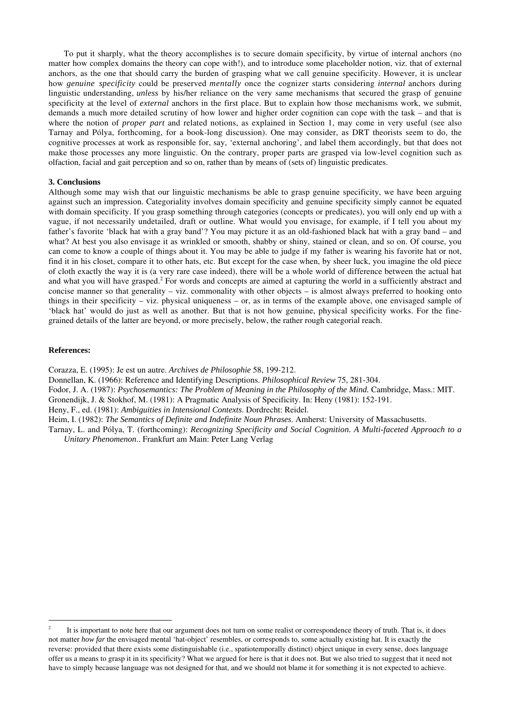To put it sharply, what the theory accomplishes is to secure domain specificity, by virtue of internal anchors (no matter how complex domains the theory can cope with!), and to introduce some placeholder notion, viz. that of external anchors, as the one that should carry the burden of grasping what we call genuine specificity. However, it is unclear how *genuine specificity* could be preserved *mentally* once the cognizer starts considering *internal* anchors during linguistic understanding, *unless* by his/her reliance on the very same mechanisms that secured the grasp of genuine specificity at the level of *external* anchors in the first place. But to explain how those mechanisms work, we submit, demands a much more detailed scrutiny of how lower and higher order cognition can cope with the task – and that is where the notion of *proper part* and related notions, as explained in Section 1, may come in very useful (see also Tarnay and Pólya, forthcoming, for a book-long discussion). One may consider, as DRT theorists seem to do, the cognitive processes at work as responsible for, say, 'external anchoring', and label them accordingly, but that does not make those processes any more linguistic. On the contrary, proper parts are grasped via low-level cognition such as olfaction, facial and gait perception and so on, rather than by means of (sets of) linguistic predicates.

#### **3. Conclusions**

Although some may wish that our linguistic mechanisms be able to grasp genuine specificity, we have been arguing against such an impression. Categoriality involves domain specificity and genuine specificity simply cannot be equated with domain specificity. If you grasp something through categories (concepts or predicates), you will only end up with a vague, if not necessarily undetailed, draft or outline. What would you envisage, for example, if I tell you about my father's favorite 'black hat with a gray band'? You may picture it as an old-fashioned black hat with a gray band – and what? At best you also envisage it as wrinkled or smooth, shabby or shiny, stained or clean, and so on. Of course, you can come to know a couple of things about it. You may be able to judge if my father is wearing his favorite hat or not, find it in his closet, compare it to other hats, etc. But except for the case when, by sheer luck, you imagine the old piece of cloth exactly the way it is (a very rare case indeed), there will be a whole world of difference between the actual hat and what you will have grasped.<sup>2</sup> For words and concepts are aimed at capturing the world in a sufficiently abstract and concise manner so that generality – viz. commonality with other objects – is almost always preferred to hooking onto things in their specificity – viz. physical uniqueness – or, as in terms of the example above, one envisaged sample of 'black hat' would do just as well as another. But that is not how genuine, physical specificity works. For the finegrained details of the latter are beyond, or more precisely, below, the rather rough categorial reach.

#### **References:**

Corazza, E. (1995): Je est un autre. *Archives de Philosophie* 58, 199-212.

Donnellan, K. (1966): Reference and Identifying Descriptions. *Philosophical Review* 75, 281-304.

Fodor, J. A. (1987): *Psychosemantics: The Problem of Meaning in the Philosophy of the Mind.* Cambridge, Mass.: MIT.

Gronendijk, J. & Stokhof, M. (1981): A Pragmatic Analysis of Specificity. In: Heny (1981): 152-191.

Heny, F., ed. (1981): *Ambiguities in Intensional Contexts*. Dordrecht: Reidel.

Heim, I. (1982): *The Semantics of Definite and Indefinite Noun Phrases*. Amherst: University of Massachusetts.

Tarnay, L. and Pólya, T. (forthcoming): *Recognizing Specificity and Social Cognition. A Multi-faceted Approach to a Unitary Phenomenon*.. Frankfurt am Main: Peter Lang Verlag

<sup>&</sup>lt;sup>2</sup> It is important to note here that our argument does not turn on some realist or correspondence theory of truth. That is, it does not matter *how far* the envisaged mental 'hat-object' resembles, or corresponds to, some actually existing hat. It is exactly the reverse: provided that there exists some distinguishable (i.e., spatiotemporally distinct) object unique in every sense, does language offer us a means to grasp it in its specificity? What we argued for here is that it does not. But we also tried to suggest that it need not have to simply because language was not designed for that, and we should not blame it for something it is not expected to achieve.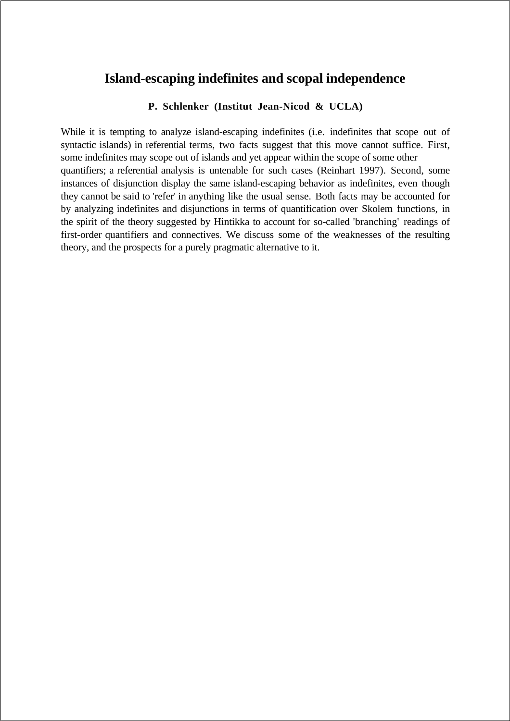## **Island-escaping indefinites and scopal independence**

## **P. Schlenker (Institut Jean-Nicod & UCLA)**

While it is tempting to analyze island-escaping indefinites (i.e. indefinites that scope out of syntactic islands) in referential terms, two facts suggest that this move cannot suffice. First, some indefinites may scope out of islands and yet appear within the scope of some other quantifiers; a referential analysis is untenable for such cases (Reinhart 1997). Second, some instances of disjunction display the same island-escaping behavior as indefinites, even though they cannot be said to 'refer' in anything like the usual sense. Both facts may be accounted for by analyzing indefinites and disjunctions in terms of quantification over Skolem functions, in the spirit of the theory suggested by Hintikka to account for so-called 'branching' readings of first-order quantifiers and connectives. We discuss some of the weaknesses of the resulting theory, and the prospects for a purely pragmatic alternative to it.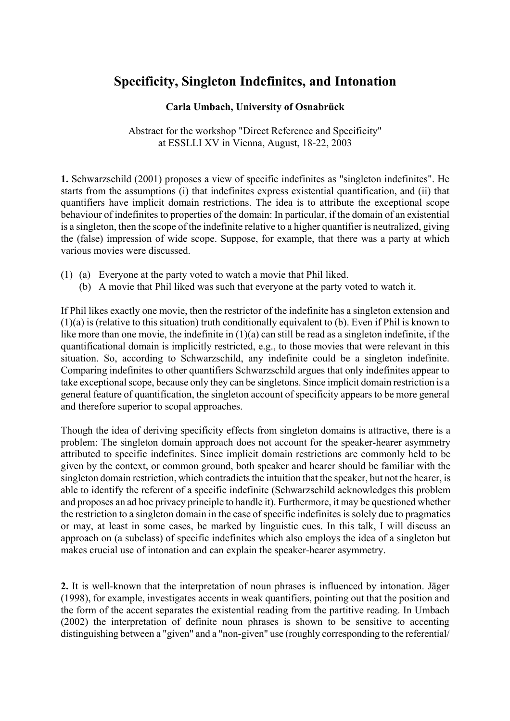## **Specificity, Singleton Indefinites, and Intonation**

## **Carla Umbach, University of Osnabrück**

Abstract for the workshop "Direct Reference and Specificity" at ESSLLI XV in Vienna, August, 18-22, 2003

**1.** Schwarzschild (2001) proposes a view of specific indefinites as "singleton indefinites". He starts from the assumptions (i) that indefinites express existential quantification, and (ii) that quantifiers have implicit domain restrictions. The idea is to attribute the exceptional scope behaviour of indefinites to properties of the domain: In particular, if the domain of an existential is a singleton, then the scope of the indefinite relative to a higher quantifier is neutralized, giving the (false) impression of wide scope. Suppose, for example, that there was a party at which various movies were discussed.

- (1) (a) Everyone at the party voted to watch a movie that Phil liked.
	- (b) A movie that Phil liked was such that everyone at the party voted to watch it.

If Phil likes exactly one movie, then the restrictor of the indefinite has a singleton extension and (1)(a) is (relative to this situation) truth conditionally equivalent to (b). Even if Phil is known to like more than one movie, the indefinite in (1)(a) can still be read as a singleton indefinite, if the quantificational domain is implicitly restricted, e.g., to those movies that were relevant in this situation. So, according to Schwarzschild, any indefinite could be a singleton indefinite. Comparing indefinites to other quantifiers Schwarzschild argues that only indefinites appear to take exceptional scope, because only they can be singletons. Since implicit domain restriction is a general feature of quantification, the singleton account of specificity appears to be more general and therefore superior to scopal approaches.

Though the idea of deriving specificity effects from singleton domains is attractive, there is a problem: The singleton domain approach does not account for the speaker-hearer asymmetry attributed to specific indefinites. Since implicit domain restrictions are commonly held to be given by the context, or common ground, both speaker and hearer should be familiar with the singleton domain restriction, which contradicts the intuition that the speaker, but not the hearer, is able to identify the referent of a specific indefinite (Schwarzschild acknowledges this problem and proposes an ad hoc privacy principle to handle it). Furthermore, it may be questioned whether the restriction to a singleton domain in the case of specific indefinites is solely due to pragmatics or may, at least in some cases, be marked by linguistic cues. In this talk, I will discuss an approach on (a subclass) of specific indefinites which also employs the idea of a singleton but makes crucial use of intonation and can explain the speaker-hearer asymmetry.

**2.** It is well-known that the interpretation of noun phrases is influenced by intonation. Jäger (1998), for example, investigates accents in weak quantifiers, pointing out that the position and the form of the accent separates the existential reading from the partitive reading. In Umbach (2002) the interpretation of definite noun phrases is shown to be sensitive to accenting distinguishing between a "given" and a "non-given" use (roughly corresponding to the referential/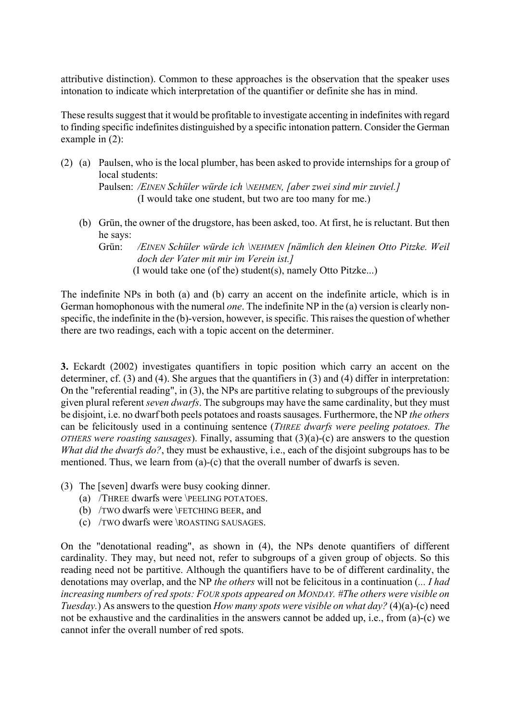attributive distinction). Common to these approaches is the observation that the speaker uses intonation to indicate which interpretation of the quantifier or definite she has in mind.

These results suggest that it would be profitable to investigate accenting in indefinites with regard to finding specific indefinites distinguished by a specific intonation pattern. Consider the German example in (2):

- (2) (a) Paulsen, who is the local plumber, has been asked to provide internships for a group of local students: Paulsen: */EINEN Schüler würde ich \NEHMEN, [aber zwei sind mir zuviel.]*  (I would take one student, but two are too many for me.)
	- (b) Grün, the owner of the drugstore, has been asked, too. At first, he is reluctant. But then he says:

Grün: */EINEN Schüler würde ich \NEHMEN [nämlich den kleinen Otto Pitzke. Weil doch der Vater mit mir im Verein ist.]*  (I would take one (of the) student(s), namely Otto Pitzke...)

The indefinite NPs in both (a) and (b) carry an accent on the indefinite article, which is in German homophonous with the numeral *one*. The indefinite NP in the (a) version is clearly nonspecific, the indefinite in the (b)-version, however, is specific. This raises the question of whether there are two readings, each with a topic accent on the determiner.

**3.** Eckardt (2002) investigates quantifiers in topic position which carry an accent on the determiner, cf. (3) and (4). She argues that the quantifiers in (3) and (4) differ in interpretation: On the "referential reading", in (3), the NPs are partitive relating to subgroups of the previously given plural referent *seven dwarfs*. The subgroups may have the same cardinality, but they must be disjoint, i.e. no dwarf both peels potatoes and roasts sausages. Furthermore, the NP *the others* can be felicitously used in a continuing sentence (*THREE dwarfs were peeling potatoes. The OTHERS were roasting sausages*). Finally, assuming that (3)(a)-(c) are answers to the question *What did the dwarfs do?*, they must be exhaustive, i.e., each of the disjoint subgroups has to be mentioned. Thus, we learn from (a)-(c) that the overall number of dwarfs is seven.

- (3) The [seven] dwarfs were busy cooking dinner.
	- (a) /THREE dwarfs were \PEELING POTATOES.
	- (b) /TWO dwarfs were \FETCHING BEER, and
	- (c) /TWO dwarfs were \ROASTING SAUSAGES.

On the "denotational reading", as shown in (4), the NPs denote quantifiers of different cardinality. They may, but need not, refer to subgroups of a given group of objects. So this reading need not be partitive. Although the quantifiers have to be of different cardinality, the denotations may overlap, and the NP *the others* will not be felicitous in a continuation (*... I had increasing numbers of red spots: FOUR spots appeared on MONDAY. #The others were visible on Tuesday.*) As answers to the question *How many spots were visible on what day?* (4)(a)-(c) need not be exhaustive and the cardinalities in the answers cannot be added up, i.e., from (a)-(c) we cannot infer the overall number of red spots.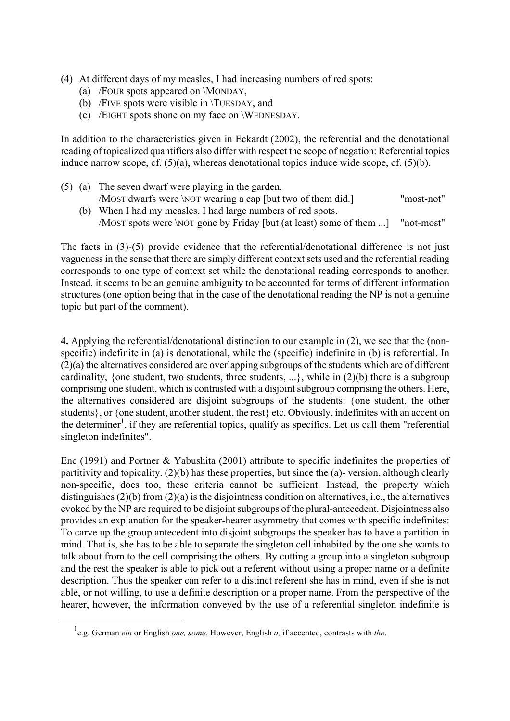- (4) At different days of my measles, I had increasing numbers of red spots:
	- (a) /FOUR spots appeared on \MONDAY,
	- (b) /FIVE spots were visible in \TUESDAY, and
	- (c) /EIGHT spots shone on my face on \WEDNESDAY.

In addition to the characteristics given in Eckardt (2002), the referential and the denotational reading of topicalized quantifiers also differ with respect the scope of negation: Referential topics induce narrow scope, cf. (5)(a), whereas denotational topics induce wide scope, cf. (5)(b).

- (5) (a) The seven dwarf were playing in the garden. /MOST dwarfs were \NOT wearing a cap [but two of them did.] "most-not"
	- (b) When I had my measles, I had large numbers of red spots. /MOST spots were \NOT gone by Friday [but (at least) some of them ...] "not-most"

The facts in (3)-(5) provide evidence that the referential/denotational difference is not just vagueness in the sense that there are simply different context sets used and the referential reading corresponds to one type of context set while the denotational reading corresponds to another. Instead, it seems to be an genuine ambiguity to be accounted for terms of different information structures (one option being that in the case of the denotational reading the NP is not a genuine topic but part of the comment).

**4.** Applying the referential/denotational distinction to our example in (2), we see that the (nonspecific) indefinite in (a) is denotational, while the (specific) indefinite in (b) is referential. In (2)(a) the alternatives considered are overlapping subgroups of the students which are of different cardinality, {one student, two students, three students, ...}, while in  $(2)(b)$  there is a subgroup comprising one student, which is contrasted with a disjoint subgroup comprising the others. Here, the alternatives considered are disjoint subgroups of the students: {one student, the other students}, or {one student, another student, the rest} etc. Obviously, indefinites with an accent on the determiner<sup>[1](#page-34-0)</sup>, if they are referential topics, qualify as specifics. Let us call them "referential" singleton indefinites".

Enc (1991) and Portner & Yabushita (2001) attribute to specific indefinites the properties of partitivity and topicality. (2)(b) has these properties, but since the (a)- version, although clearly non-specific, does too, these criteria cannot be sufficient. Instead, the property which distinguishes (2)(b) from (2)(a) is the disjointness condition on alternatives, i.e., the alternatives evoked by the NP are required to be disjoint subgroups of the plural-antecedent. Disjointness also provides an explanation for the speaker-hearer asymmetry that comes with specific indefinites: To carve up the group antecedent into disjoint subgroups the speaker has to have a partition in mind. That is, she has to be able to separate the singleton cell inhabited by the one she wants to talk about from to the cell comprising the others. By cutting a group into a singleton subgroup and the rest the speaker is able to pick out a referent without using a proper name or a definite description. Thus the speaker can refer to a distinct referent she has in mind, even if she is not able, or not willing, to use a definite description or a proper name. From the perspective of the hearer, however, the information conveyed by the use of a referential singleton indefinite is

<span id="page-34-0"></span> $\overline{\phantom{0}1}$ e.g. German *ein* or English *one, some.* However, English *a,* if accented, contrasts with *the*.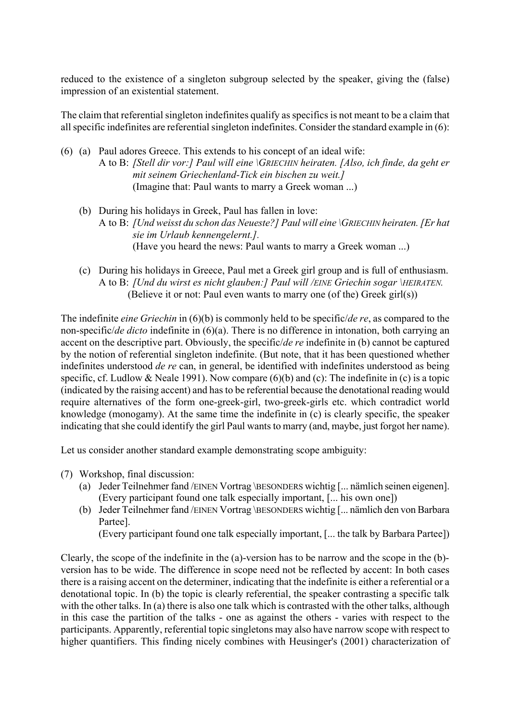reduced to the existence of a singleton subgroup selected by the speaker, giving the (false) impression of an existential statement.

The claim that referential singleton indefinites qualify as specifics is not meant to be a claim that all specific indefinites are referential singleton indefinites. Consider the standard example in (6):

- (6) (a) Paul adores Greece. This extends to his concept of an ideal wife: A to B: *[Stell dir vor:] Paul will eine \GRIECHIN heiraten. [Also, ich finde, da geht er mit seinem Griechenland-Tick ein bischen zu weit.]* (Imagine that: Paul wants to marry a Greek woman ...)
	- (b) During his holidays in Greek, Paul has fallen in love: A to B: *[Und weisst du schon das Neueste?] Paul will eine \GRIECHIN heiraten. [Er hat sie im Urlaub kennengelernt.].* (Have you heard the news: Paul wants to marry a Greek woman ...)
	- (c) During his holidays in Greece, Paul met a Greek girl group and is full of enthusiasm. A to B: *[Und du wirst es nicht glauben:] Paul will /EINE Griechin sogar \HEIRATEN.* (Believe it or not: Paul even wants to marry one (of the) Greek girl(s))

The indefinite *eine Griechin* in (6)(b) is commonly held to be specific/*de re*, as compared to the non-specific/*de dicto* indefinite in (6)(a). There is no difference in intonation, both carrying an accent on the descriptive part. Obviously, the specific/*de re* indefinite in (b) cannot be captured by the notion of referential singleton indefinite. (But note, that it has been questioned whether indefinites understood *de re* can, in general, be identified with indefinites understood as being specific, cf. Ludlow & Neale 1991). Now compare  $(6)(b)$  and  $(c)$ : The indefinite in  $(c)$  is a topic (indicated by the raising accent) and has to be referential because the denotational reading would require alternatives of the form one-greek-girl, two-greek-girls etc. which contradict world knowledge (monogamy). At the same time the indefinite in (c) is clearly specific, the speaker indicating that she could identify the girl Paul wants to marry (and, maybe, just forgot her name).

Let us consider another standard example demonstrating scope ambiguity:

- (7) Workshop, final discussion:
	- (a) Jeder Teilnehmer fand /EINEN Vortrag \BESONDERS wichtig [... nämlich seinen eigenen]. (Every participant found one talk especially important, [... his own one])
	- (b) Jeder Teilnehmer fand /EINEN Vortrag \BESONDERS wichtig [... nämlich den von Barbara Partee].

(Every participant found one talk especially important, [... the talk by Barbara Partee])

Clearly, the scope of the indefinite in the (a)-version has to be narrow and the scope in the (b) version has to be wide. The difference in scope need not be reflected by accent: In both cases there is a raising accent on the determiner, indicating that the indefinite is either a referential or a denotational topic. In (b) the topic is clearly referential, the speaker contrasting a specific talk with the other talks. In (a) there is also one talk which is contrasted with the other talks, although in this case the partition of the talks - one as against the others - varies with respect to the participants. Apparently, referential topic singletons may also have narrow scope with respect to higher quantifiers. This finding nicely combines with Heusinger's (2001) characterization of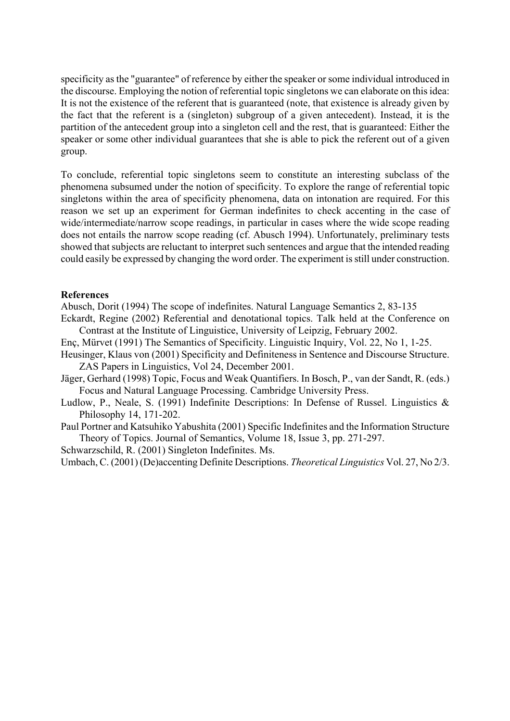specificity as the "guarantee" of reference by either the speaker or some individual introduced in the discourse. Employing the notion of referential topic singletons we can elaborate on this idea: It is not the existence of the referent that is guaranteed (note, that existence is already given by the fact that the referent is a (singleton) subgroup of a given antecedent). Instead, it is the partition of the antecedent group into a singleton cell and the rest, that is guaranteed: Either the speaker or some other individual guarantees that she is able to pick the referent out of a given group.

To conclude, referential topic singletons seem to constitute an interesting subclass of the phenomena subsumed under the notion of specificity. To explore the range of referential topic singletons within the area of specificity phenomena, data on intonation are required. For this reason we set up an experiment for German indefinites to check accenting in the case of wide/intermediate/narrow scope readings, in particular in cases where the wide scope reading does not entails the narrow scope reading (cf. Abusch 1994). Unfortunately, preliminary tests showed that subjects are reluctant to interpret such sentences and argue that the intended reading could easily be expressed by changing the word order. The experiment is still under construction.

### **References**

Abusch, Dorit (1994) The scope of indefinites. Natural Language Semantics 2, 83-135

Eckardt, Regine (2002) Referential and denotational topics. Talk held at the Conference on Contrast at the Institute of Linguistice, University of Leipzig, February 2002.

Enç, Mürvet (1991) The Semantics of Specificity. Linguistic Inquiry, Vol. 22, No 1, 1-25.

Heusinger, Klaus von (2001) Specificity and Definiteness in Sentence and Discourse Structure. ZAS Papers in Linguistics, Vol 24, December 2001.

- Jäger, Gerhard (1998) Topic, Focus and Weak Quantifiers. In Bosch, P., van der Sandt, R. (eds.) Focus and Natural Language Processing. Cambridge University Press.
- Ludlow, P., Neale, S. (1991) Indefinite Descriptions: In Defense of Russel. Linguistics & Philosophy 14, 171-202.
- Paul Portner and Katsuhiko Yabushita (2001) Specific Indefinites and the Information Structure Theory of Topics. Journal of Semantics, Volume 18, Issue 3, pp. 271-297.

Schwarzschild, R. (2001) Singleton Indefinites. Ms.

Umbach, C. (2001) (De)accenting Definite Descriptions. *Theoretical Linguistics* Vol. 27, No 2/3.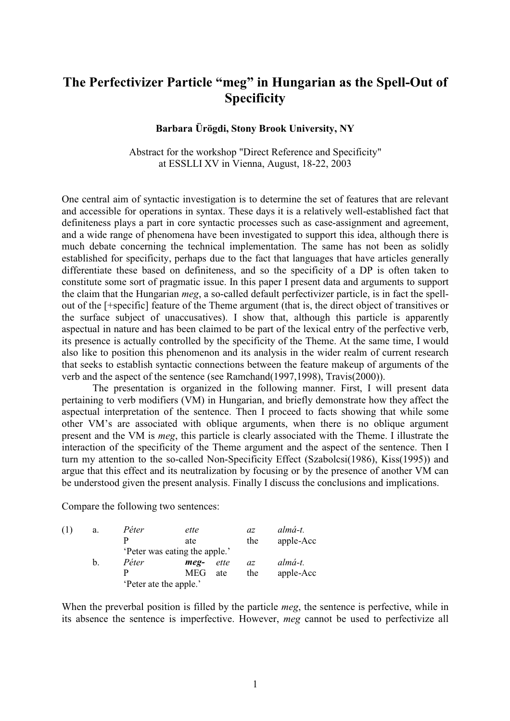## The Perfectivizer Particle "meg" in Hungarian as the Spell-Out of Specificity

### Barbara Ürögdi, Stony Brook University, NY

Abstract for the workshop "Direct Reference and Specificity" at ESSLLI XV in Vienna, August, 18-22, 2003

One central aim of syntactic investigation is to determine the set of features that are relevant and accessible for operations in syntax. These days it is a relatively well-established fact that definiteness plays a part in core syntactic processes such as case-assignment and agreement, and a wide range of phenomena have been investigated to support this idea, although there is much debate concerning the technical implementation. The same has not been as solidly established for specificity, perhaps due to the fact that languages that have articles generally differentiate these based on definiteness, and so the specificity of a DP is often taken to constitute some sort of pragmatic issue. In this paper I present data and arguments to support the claim that the Hungarian meg, a so-called default perfectivizer particle, is in fact the spellout of the  $[+$ specific $]$  feature of the Theme argument (that is, the direct object of transitives or the surface subject of unaccusatives). I show that, although this particle is apparently aspectual in nature and has been claimed to be part of the lexical entry of the perfective verb, its presence is actually controlled by the specificity of the Theme. At the same time, I would also like to position this phenomenon and its analysis in the wider realm of current research that seeks to establish syntactic connections between the feature makeup of arguments of the verb and the aspect of the sentence (see Ramchand(1997,1998), Travis $(2000)$ ).

The presentation is organized in the following manner. First, I will present data pertaining to verb modifiers (VM) in Hungarian, and briefly demonstrate how they affect the aspectual interpretation of the sentence. Then I proceed to facts showing that while some other VM's are associated with oblique arguments, when there is no oblique argument present and the VM is *meg*, this particle is clearly associated with the Theme. I illustrate the interaction of the specificity of the Theme argument and the aspect of the sentence. Then I turn my attention to the so-called Non-Specificity Effect (Szabolcsi $(1986)$ , Kiss $(1995)$ ) and argue that this effect and its neutralization by focusing or by the presence of another VM can be understood given the present analysis. Finally I discuss the conclusions and implications.

Compare the following two sentences:

| (1) | a. | Péter                  | ette                          |      | az  | almá-t.   |
|-----|----|------------------------|-------------------------------|------|-----|-----------|
|     |    | р                      | ate                           |      | the | apple-Acc |
|     |    |                        | 'Peter was eating the apple.' |      |     |           |
|     | b. | Péter                  | meg-                          | ette | az  | almá-t.   |
|     |    | р                      | <b>MEG</b>                    | ate  | the | apple-Acc |
|     |    | 'Peter ate the apple.' |                               |      |     |           |

When the preverbal position is filled by the particle *meg*, the sentence is perfective, while in its absence the sentence is imperfective. However, meg cannot be used to perfectivize all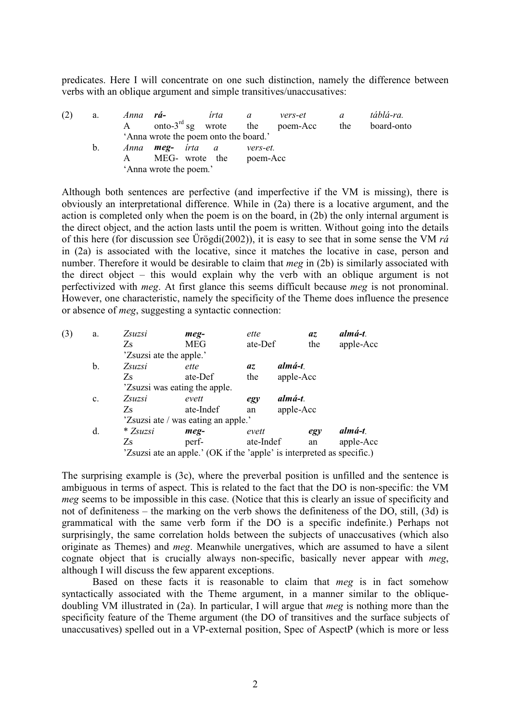predicates. Here I will concentrate on one such distinction, namely the difference between verbs with an oblique argument and simple transitives/unaccusatives:

| (2) | a.      | Anna rá- |                                       | irta | a        | vers-et  | a   | táblá-ra.  |
|-----|---------|----------|---------------------------------------|------|----------|----------|-----|------------|
|     |         |          | onto-3 <sup>rd</sup> sg wrote the     |      |          | poem-Acc | the | board-onto |
|     |         |          | 'Anna wrote the poem onto the board.' |      |          |          |     |            |
|     | $b_{1}$ |          | Anna <b>meg-</b> írta a               |      | vers-et. |          |     |            |
|     |         |          | MEG- wrote the poem-Acc               |      |          |          |     |            |
|     |         |          | 'Anna wrote the poem.'                |      |          |          |     |            |

Although both sentences are perfective (and imperfective if the VM is missing), there is obviously an interpretational difference. While in  $(2a)$  there is a locative argument, and the action is completed only when the poem is on the board, in  $(2b)$  the only internal argument is the direct object, and the action lasts until the poem is written. Without going into the details of this here (for discussion see Ürögdi(2002)), it is easy to see that in some sense the VM  $r\acute{a}$ in  $(2a)$  is associated with the locative, since it matches the locative in case, person and number. Therefore it would be desirable to claim that *meg* in (2b) is similarly associated with the direct object – this would explain why the verb with an oblique argument is not perfectivized with *meg*. At first glance this seems difficult because *meg* is not pronominal. However, one characteristic, namely the specificity of the Theme does influence the presence or absence of *meg*, suggesting a syntactic connection:

| (3) | a.             | Zsuzsi                  | meg-                                                                   | ette      | az        | almá-t.   |
|-----|----------------|-------------------------|------------------------------------------------------------------------|-----------|-----------|-----------|
|     |                | Zs                      | MEG                                                                    | ate-Def   | the       | apple-Acc |
|     |                | 'Zsuzsi ate the apple.' |                                                                        |           |           |           |
|     | b.             | Zsuzsi                  | ette                                                                   | az.       | almá-t.   |           |
|     |                | Zs                      | ate-Def                                                                | the       | apple-Acc |           |
|     |                |                         | 'Zsuzsi was eating the apple.                                          |           |           |           |
|     | $\mathbf{c}$ . | Zsuzsi                  | evett                                                                  | egy       | almá-t.   |           |
|     |                | Zs                      | ate-Indef                                                              | an        | apple-Acc |           |
|     |                |                         | 'Zsuzsi ate / was eating an apple.'                                    |           |           |           |
|     | d.             | * Zsuzsi                | meg-                                                                   | evett     | egy       | almá-t.   |
|     |                | Zs                      | perf-                                                                  | ate-Indef | an        | apple-Acc |
|     |                |                         | 'Zsuzsi ate an apple.' (OK if the 'apple' is interpreted as specific.) |           |           |           |

The surprising example is  $(3c)$ , where the preverbal position is unfilled and the sentence is ambiguous in terms of aspect. This is related to the fact that the DO is non-specific: the VM meg seems to be impossible in this case. (Notice that this is clearly an issue of specificity and not of definiteness  $-$  the marking on the verb shows the definiteness of the DO, still, (3d) is grammatical with the same verb form if the DO is a specific indefinite.) Perhaps not surprisingly, the same correlation holds between the subjects of unaccusatives (which also originate as Themes) and *meg*. Meanwhile unergatives, which are assumed to have a silent cognate object that is crucially always non-specific, basically never appear with  $meq$ , although I will discuss the few apparent exceptions.

Based on these facts it is reasonable to claim that  $meg$  is in fact somehow syntactically associated with the Theme argument, in a manner similar to the obliquedoubling VM illustrated in  $(2a)$ . In particular, I will argue that *meg* is nothing more than the specificity feature of the Theme argument (the DO of transitives and the surface subjects of unaccusatives) spelled out in a VP-external position, Spec of AspectP (which is more or less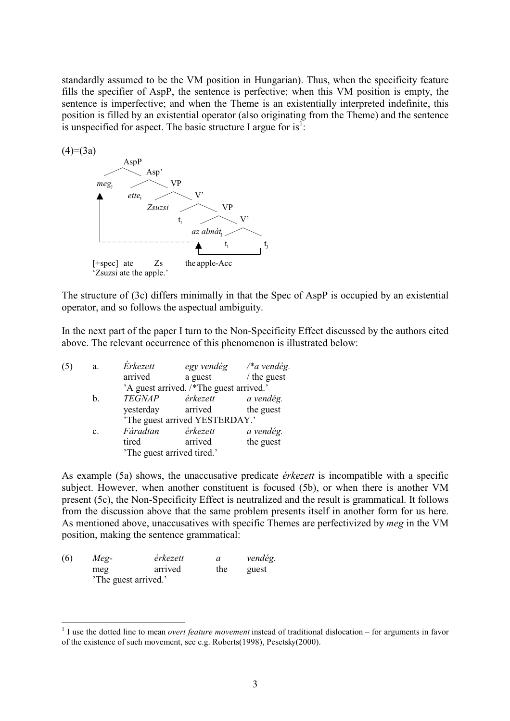standardly assumed to be the VM position in Hungarian). Thus, when the specificity feature fills the specifier of AspP, the sentence is perfective; when this VM position is empty, the sentence is imperfective; and when the Theme is an existentially interpreted indefinite, this position is filled by an existential operator (also originating from the Theme) and the sentence is unspecified for aspect. The basic structure I argue for is<sup>1</sup>:



The structure of (3c) differs minimally in that the Spec of AspP is occupied by an existential operator, and so follows the aspectual ambiguity.

In the next part of the paper I turn to the Non-Specificity Effect discussed by the authors cited above. The relevant occurrence of this phenomenon is illustrated below:

| (5) | a.             | <i>Erkezett</i>            |                                         | egy vendég /*a vendég. |
|-----|----------------|----------------------------|-----------------------------------------|------------------------|
|     |                | arrived                    | a guest                                 | $/$ the guest          |
|     |                |                            | 'A guest arrived. /*The guest arrived.' |                        |
|     | b.             | <b>TEGNAP</b>              | érkezett                                | a vendég.              |
|     |                | yesterday                  | arrived                                 | the guest              |
|     |                |                            | 'The guest arrived YESTERDAY.'          |                        |
|     | $\mathbf{c}$ . | Fáradtan                   | érkezett                                | a vendég.              |
|     |                | tired                      | arrived                                 | the guest              |
|     |                | 'The guest arrived tired.' |                                         |                        |

As example (5a) shows, the unaccusative predicate *érkezett* is incompatible with a specific subject. However, when another constituent is focused (5b), or when there is another VM present (5c), the Non-Specificity Effect is neutralized and the result is grammatical. It follows from the discussion above that the same problem presents itself in another form for us here. As mentioned above, unaccusatives with specific Themes are perfectivized by meg in the VM position, making the sentence grammatical:

| (6) | Meg-                | érkezett |     | vendég. |
|-----|---------------------|----------|-----|---------|
|     | meg                 | arrived  | the | guest   |
|     | The guest arrived.' |          |     |         |

<sup>&</sup>lt;sup>1</sup> I use the dotted line to mean *overt feature movement* instead of traditional dislocation – for arguments in favor of the existence of such movement, see e.g. Roberts(1998), Pesetsky(2000).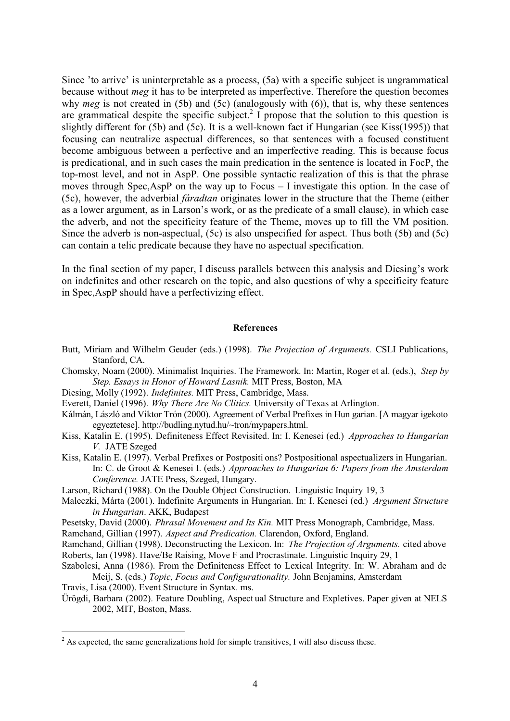Since 'to arrive' is uninterpretable as a process,  $(5a)$  with a specific subject is ungrammatical because without *meg* it has to be interpreted as imperfective. Therefore the question becomes why meg is not created in (5b) and (5c) (analogously with  $(6)$ ), that is, why these sentences are grammatical despite the specific subject.<sup>2</sup> I propose that the solution to this question is slightly different for  $(5b)$  and  $(5c)$ . It is a well-known fact if Hungarian (see Kiss $(1995)$ ) that focusing can neutralize aspectual differences, so that sentences with a focused constituent become ambiguous between a perfective and an imperfective reading. This is because focus is predicational, and in such cases the main predication in the sentence is located in FocP, the top-most level, and not in AspP. One possible syntactic realization of this is that the phrase moves through Spec, AspP on the way up to Focus  $- I$  investigate this option. In the case of (5c), however, the adverbial *faradtan* originates lower in the structure that the Theme (either as a lower argument, as in Larson's work, or as the predicate of a small clause), in which case the adverb, and not the specificity feature of the Theme, moves up to fill the VM position. Since the adverb is non-aspectual,  $(5c)$  is also unspecified for aspect. Thus both  $(5b)$  and  $(5c)$ can contain a telic predicate because they have no aspectual specification.

In the final section of my paper, I discuss parallels between this analysis and Diesing's work on indefinites and other research on the topic, and also questions of why a specificity feature in Spec, AspP should have a perfectivizing effect.

#### References

- Butt, Miriam and Wilhelm Geuder (eds.) (1998). The Projection of Arguments. CSLI Publications, Stanford, CA.
- Chomsky, Noam (2000). Minimalist Inquiries. The Framework. In: Martin, Roger et al. (eds.), Step by Step. Essays in Honor of Howard Lasnik. MIT Press, Boston, MA
- Diesing, Molly (1992). Indefinites. MIT Press, Cambridge, Mass.
- Everett. Daniel (1996). *Why There Are No Clitics*. University of Texas at Arlington.
- Kálmán, László and Viktor Trón (2000). Agreement of Verbal Prefixes in Hun garian. [A magyar igekoto egyeztetese]. http://budling.nytud.hu/ $\sim$ tron/mypapers.html.
- Kiss, Katalin E. (1995). Definiteness Effect Revisited. In: I. Kenesei (ed.) Approaches to Hungarian  $V$ . JATE Szeged
- Kiss, Katalin E. (1997). Verbal Prefixes or Postpositions? Postpositional aspectualizers in Hungarian. In: C. de Groot & Kenesei I. (eds.) *Approaches to Hungarian 6: Papers from the Amsterdam* Conference. JATE Press, Szeged, Hungary.
- Larson, Richard (1988). On the Double Object Construction. Linguistic Inquiry 19, 3
- Maleczki, Márta (2001). Indefinite Arguments in Hungarian. In: I. Kenesei (ed.) Argument Structure in Hungarian, AKK, Budapest
- Pesetsky, David (2000). *Phrasal Movement and Its Kin*. MIT Press Monograph, Cambridge, Mass.
- Ramchand, Gillian (1997). Aspect and Predication. Clarendon, Oxford, England.
- Ramchand, Gillian (1998). Deconstructing the Lexicon. In: The Projection of Arguments. cited above Roberts, Ian (1998). Have/Be Raising, Move F and Procrastinate. Linguistic Inquiry 29, 1
- Szabolcsi, Anna (1986). From the Definiteness Effect to Lexical Integrity. In: W. Abraham and de Meij, S. (eds.) Topic, Focus and Configurationality. John Benjamins, Amsterdam
- Travis, Lisa (2000). Event Structure in Syntax. ms.
- Ürögdi, Barbara (2002). Feature Doubling, Aspectual Structure and Expletives. Paper given at NELS 2002, MIT, Boston, Mass.

 $<sup>2</sup>$  As expected, the same generalizations hold for simple transitives, I will also discuss these.</sup>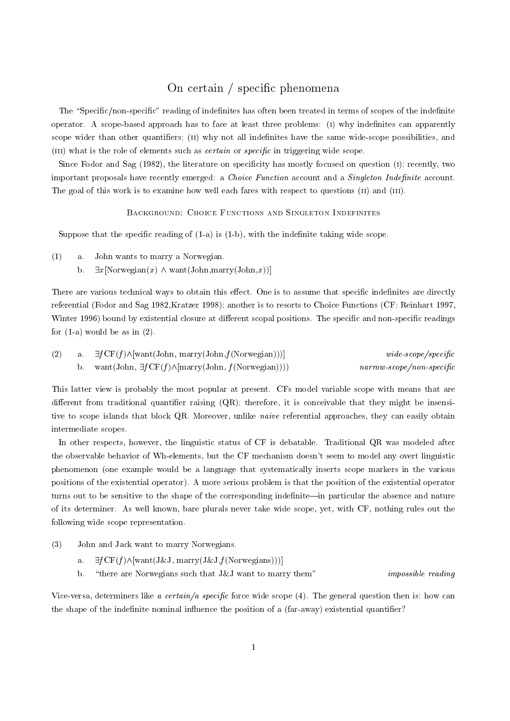## On certain / specific phenomena

The "Specific/non-specific" reading of indefinites has often been treated in terms of scopes of the indefinite operator. A scope-based approach has to face at least three problems: (1) why indefinites can apparently scope wider than other quantifiers; (II) why not all indefinites have the same wide-scope possibilities, and (III) what is the role of elements such as *certain* or *specific* in triggering wide scope.

Since Fodor and Sag (1982), the literature on specificity has mostly focused on question (1); recently, two important proposals have recently emerged: a *Choice Function* account and a *Singleton Indefinite* account. The goal of this work is to examine how well each fares with respect to questions (II) and (III).

#### BACKGROUND: CHOICE FUNCTIONS AND SINGLETON INDEFINITES

Suppose that the specific reading of  $(1-a)$  is  $(1-b)$ , with the indefinite taking wide scope.

- $(1)$ John wants to marry a Norwegian. a.
	- $\exists x$ [Norwegian(x)  $\land$  want(John, marry(John, x))] b.

There are various technical ways to obtain this effect. One is to assume that specific indefinites are directly referential (Fodor and Sag 1982, Kratzer 1998); another is to resorts to Choice Functions (CF; Reinhart 1997, Winter 1996) bound by existential closure at different scopal positions. The specific and non-specific readings for  $(1-a)$  would be as in  $(2)$ .

|  | (2) a. $\exists f \text{CF}(f) \land [\text{want}(\text{John}, \text{mary}(\text{John}, f(\text{Norwegian})))]$ | wide~edge~scope/specific                  |
|--|-----------------------------------------------------------------------------------------------------------------|-------------------------------------------|
|  | b. want (John, $\exists f CF(f) \wedge [marry(John, f(Norwegin)))$ )                                            | $narrow\text{-}scope/non\text{-}specific$ |

This latter view is probably the most popular at present. CFs model variable scope with means that are different from traditional quantifier raising  $(QR)$ ; therefore, it is conceivable that they might be insensitive to scope islands that block QR. Moreover, unlike *naive* referential approaches, they can easily obtain intermediate scopes.

In other respects, however, the linguistic status of CF is debatable. Traditional QR was modeled after the observable behavior of Wh-elements, but the CF mechanism doesn't seem to model any overt linguistic phenomenon (one example would be a language that systematically inserts scope markers in the various positions of the existential operator). A more serious problem is that the position of the existential operator turns out to be sensitive to the shape of the corresponding indefinite—in particular the absence and nature of its determiner. As well known, bare plurals never take wide scope, yet, with CF, nothing rules out the following wide scope representation.

- $(3)$ John and Jack want to marry Norwegians.
	- $\exists fCF(f) \wedge [want(J&J, \text{marry}(J&J,f(\text{Norwegians})))]$  $\overline{a}$ .
	- b. "there are Norwegians such that J&J want to marry them" *impossible* reading

Vice-versa, determiners like a certain/a specific force wide scope  $(4)$ . The general question then is: how can the shape of the indefinite nominal influence the position of a (far-away) existential quantifier?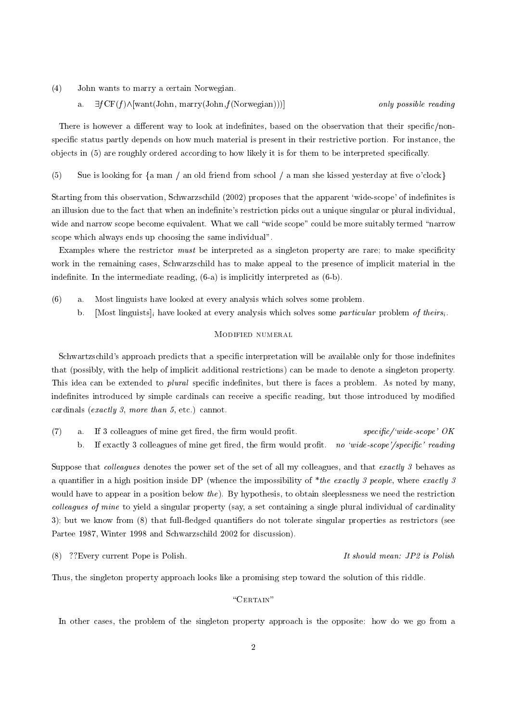- $(4)$ John wants to marry a certain Norwegian.
	- $\exists f CF(f) \land [want(John, marry(John, f(Norwegin)))]$ a.

only possible reading

There is however a different way to look at indefinites, based on the observation that their specific/nonspecific status partly depends on how much material is present in their restrictive portion. For instance, the objects in (5) are roughly ordered according to how likely it is for them to be interpreted specifically.

Sue is looking for  $\{a \text{ man } a\}$  an old friend from school  $\alpha$  man she kissed vesterday at five o'clock  $(5)$ 

Starting from this observation, Schwarzschild (2002) proposes that the apparent 'wide-scope' of indefinites is an illusion due to the fact that when an indefinite's restriction picks out a unique singular or plural individual, wide and narrow scope become equivalent. What we call "wide scope" could be more suitably termed "narrow scope which always ends up choosing the same individual".

Examples where the restrictor must be interpreted as a singleton property are rare; to make specificity work in the remaining cases, Schwarzschild has to make appeal to the presence of implicit material in the indefinite. In the intermediate reading,  $(6-a)$  is implicitly interpreted as  $(6-b)$ .

- $(6)$ Most linguists have looked at every analysis which solves some problem. a.
	- b. [Most linguists], have looked at every analysis which solves some *particular* problem of theirs,

#### MODIFIED NUMERAL

Schwartzschild's approach predicts that a specific interpretation will be available only for those indefinites that (possibly, with the help of implicit additional restrictions) can be made to denote a singleton property. This idea can be extended to *plural* specific indefinites, but there is faces a problem. As noted by many, indefinites introduced by simple cardinals can receive a specific reading, but those introduced by modified cardinals (exactly 3, more than 5, etc.) cannot.

 $(7)$ If 3 colleagues of mine get fired, the firm would profit.  $specific$ /'wide-scope'  $OK$  $\mathbf{a}$ . If exactly 3 colleagues of mine get fired, the firm would profit. no 'wide-scope'/specific' reading b.

Suppose that *colleagues* denotes the power set of the set of all my colleagues, and that exactly 3 behaves as a quantifier in a high position inside DP (whence the impossibility of \*the exactly 3 people, where exactly 3 would have to appear in a position below the). By hypothesis, to obtain sleeplessness we need the restriction colleagues of mine to yield a singular property (say, a set containing a single plural individual of cardinality 3); but we know from (8) that full-fledged quantifiers do not tolerate singular properties as restrictors (see Partee 1987, Winter 1998 and Schwarzschild 2002 for discussion).

(8) ?? Every current Pope is Polish.

It should mean: JP2 is Polish

Thus, the singleton property approach looks like a promising step toward the solution of this riddle.

#### "CERTAIN"

In other cases, the problem of the singleton property approach is the opposite: how do we go from a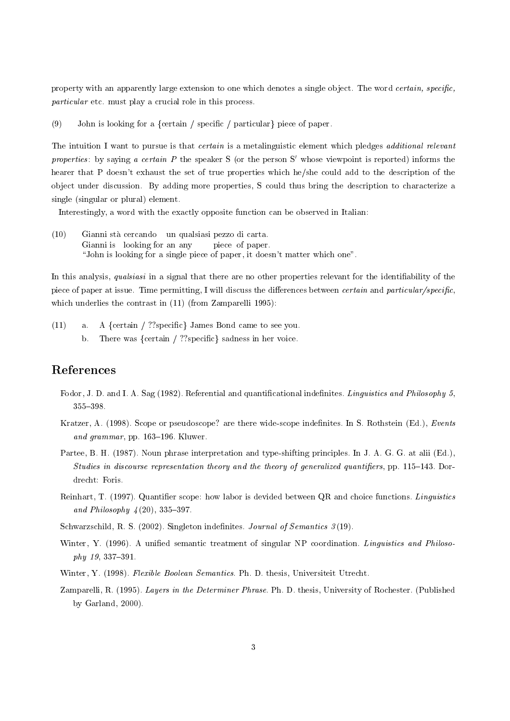property with an apparently large extension to one which denotes a single object. The word certain, specific, particular etc. must play a crucial role in this process.

 $(9)$ John is looking for a {certain / specific / particular} piece of paper.

The intuition I want to pursue is that *certain* is a metalinguistic element which pledges *additional relevant* properties: by saying a certain P the speaker S (or the person S' whose viewpoint is reported) informs the hearer that P doesn't exhaust the set of true properties which he/she could add to the description of the object under discussion. By adding more properties, S could thus bring the description to characterize a single (singular or plural) element.

Interestingly, a word with the exactly opposite function can be observed in Italian:

 $(10)$ Gianni stà cercando un qualsiasi pezzo di carta. Gianni is looking for an any piece of paper. "John is looking for a single piece of paper, it doesn't matter which one".

In this analysis, *qualsiasi* in a signal that there are no other properties relevant for the identifiability of the piece of paper at issue. Time permitting, I will discuss the differences between *certain* and *particular/specific*, which underlies the contrast in (11) (from Zamparelli 1995):

A {certain / ?? specific} James Bond came to see you.  $(11)$  $a.$ There was  $\{certain / ??specific\}$  sadness in her voice.  $h$ 

## References

- Fodor, J. D. and I. A. Sag (1982). Referential and quantificational indefinites. Linguistics and Philosophy 5,  $355 - 398$ .
- Kratzer, A. (1998). Scope or pseudoscope? are there wide-scope indefinites. In S. Rothstein (Ed.), Events and grammar, pp. 163-196. Kluwer.
- Partee, B. H. (1987). Noun phrase interpretation and type-shifting principles. In J. A. G. G. at alii (Ed.), Studies in discourse representation theory and the theory of generalized quantifiers, pp. 115–143. Dordrecht: Foris.
- Reinhart, T. (1997). Quantifier scope: how labor is devided between QR and choice functions. Linguistics and Philosophy  $4(20)$ , 335-397.
- Schwarzschild, R. S. (2002). Singleton indefinites. Journal of Semantics  $3(19)$ .
- Winter, Y. (1996). A unified semantic treatment of singular NP coordination. Linguistics and Philosophy 19, 337-391.
- Winter, Y. (1998). Flexible Boolean Semantics. Ph. D. thesis, Universiteit Utrecht.
- Zamparelli, R. (1995). Layers in the Determiner Phrase. Ph. D. thesis, University of Rochester. (Published by Garland,  $2000$ ).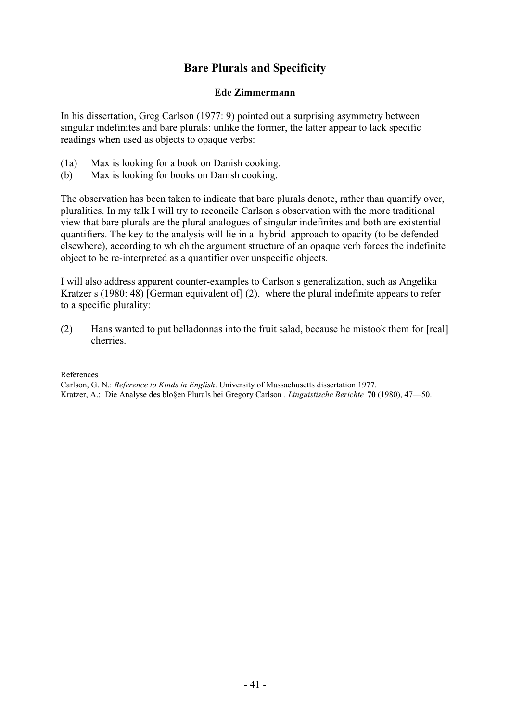## **Bare Plurals and Specificity**

### **Ede Zimmermann**

In his dissertation, Greg Carlson (1977: 9) pointed out a surprising asymmetry between singular indefinites and bare plurals: unlike the former, the latter appear to lack specific readings when used as objects to opaque verbs:

- (1a) Max is looking for a book on Danish cooking.
- (b) Max is looking for books on Danish cooking.

The observation has been taken to indicate that bare plurals denote, rather than quantify over, pluralities. In my talk I will try to reconcile Carlson s observation with the more traditional view that bare plurals are the plural analogues of singular indefinites and both are existential quantifiers. The key to the analysis will lie in a hybrid approach to opacity (to be defended elsewhere), according to which the argument structure of an opaque verb forces the indefinite object to be re-interpreted as a quantifier over unspecific objects.

I will also address apparent counter-examples to Carlson s generalization, such as Angelika Kratzer s (1980: 48) [German equivalent of] (2), where the plural indefinite appears to refer to a specific plurality:

(2) Hans wanted to put belladonnas into the fruit salad, because he mistook them for [real] cherries.

### References

Carlson, G. N.: *Reference to Kinds in English*. University of Massachusetts dissertation 1977. Kratzer, A.: Die Analyse des blo§en Plurals bei Gregory Carlson . *Linguistische Berichte* **70** (1980), 47—50.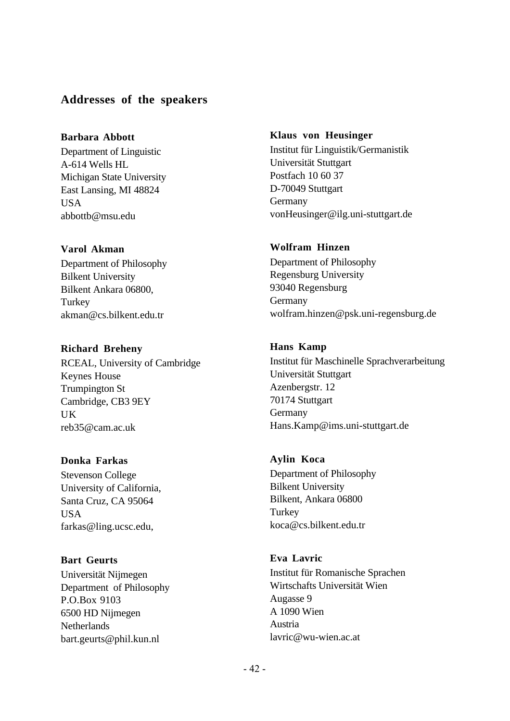## **Addresses of the speakers**

## **Barbara Abbott**

Department of Linguistic A-614 Wells HL Michigan State University East Lansing, MI 48824 **USA** abbottb@msu.edu

## **Varol Akman**

Department of Philosophy Bilkent University Bilkent Ankara 06800, **Turkey** akman@cs.bilkent.edu.tr

## **Richard Breheny**

RCEAL, University of Cambridge Keynes House Trumpington St Cambridge, CB3 9EY UK reb35@cam.ac.uk

## **Donka Farkas**

Stevenson College University of California, Santa Cruz, CA 95064 USA farkas@ling.ucsc.edu,

## **Bart Geurts**

Universität Nijmegen Department of Philosophy P.O.Box 9103 6500 HD Nijmegen **Netherlands** bart.geurts@phil.kun.nl

### **Klaus von Heusinger**

Institut für Linguistik/Germanistik Universität Stuttgart Postfach 10 60 37 D-70049 Stuttgart Germany vonHeusinger@ilg.uni-stuttgart.de

## **Wolfram Hinzen**

Department of Philosophy Regensburg University 93040 Regensburg Germany wolfram.hinzen@psk.uni-regensburg.de

## **Hans Kamp**

Institut für Maschinelle Sprachverarbeitung Universität Stuttgart Azenbergstr. 12 70174 Stuttgart Germany Hans.Kamp@ims.uni-stuttgart.de

## **Aylin Koca**

Department of Philosophy Bilkent University Bilkent, Ankara 06800 **Turkey** koca@cs.bilkent.edu.tr

## **Eva Lavric**

Institut für Romanische Sprachen Wirtschafts Universität Wien Augasse 9 A 1090 Wien Austria lavric@wu-wien.ac.at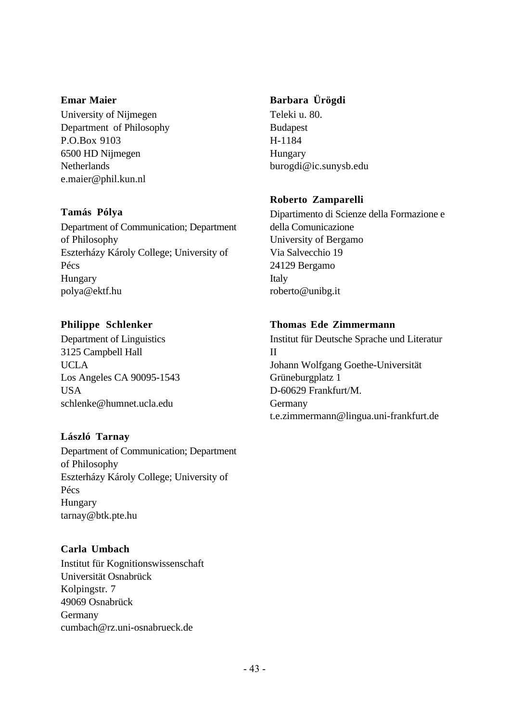### **Emar Maier**

University of Nijmegen Department of Philosophy P.O.Box 9103 6500 HD Nijmegen Netherlands e.maier@phil.kun.nl

## **Tamás Pólya**

Department of Communication; Department of Philosophy Eszterházy Károly College; University of Pécs Hungary polya@ektf.hu

## **Philippe Schlenker**

Department of Linguistics 3125 Campbell Hall UCLA Los Angeles CA 90095-1543 **USA** schlenke@humnet.ucla.edu

## **László Tarnay**

Department of Communication; Department of Philosophy Eszterházy Károly College; University of Pécs Hungary tarnay@btk.pte.hu

## **Carla Umbach**

Institut für Kognitionswissenschaft Universität Osnabrück Kolpingstr. 7 49069 Osnabrück Germany cumbach@rz.uni-osnabrueck.de

## **Barbara Ürögdi**

Teleki u. 80. **Budapest** H-1184 Hungary burogdi@ic.sunysb.edu

## **Roberto Zamparelli**

Dipartimento di Scienze della Formazione e della Comunicazione University of Bergamo Via Salvecchio 19 24129 Bergamo Italy roberto@unibg.it

## **Thomas Ede Zimmermann**

Institut für Deutsche Sprache und Literatur II Johann Wolfgang Goethe-Universität Grüneburgplatz 1 D-60629 Frankfurt/M. Germany t.e.zimmermann@lingua.uni-frankfurt.de